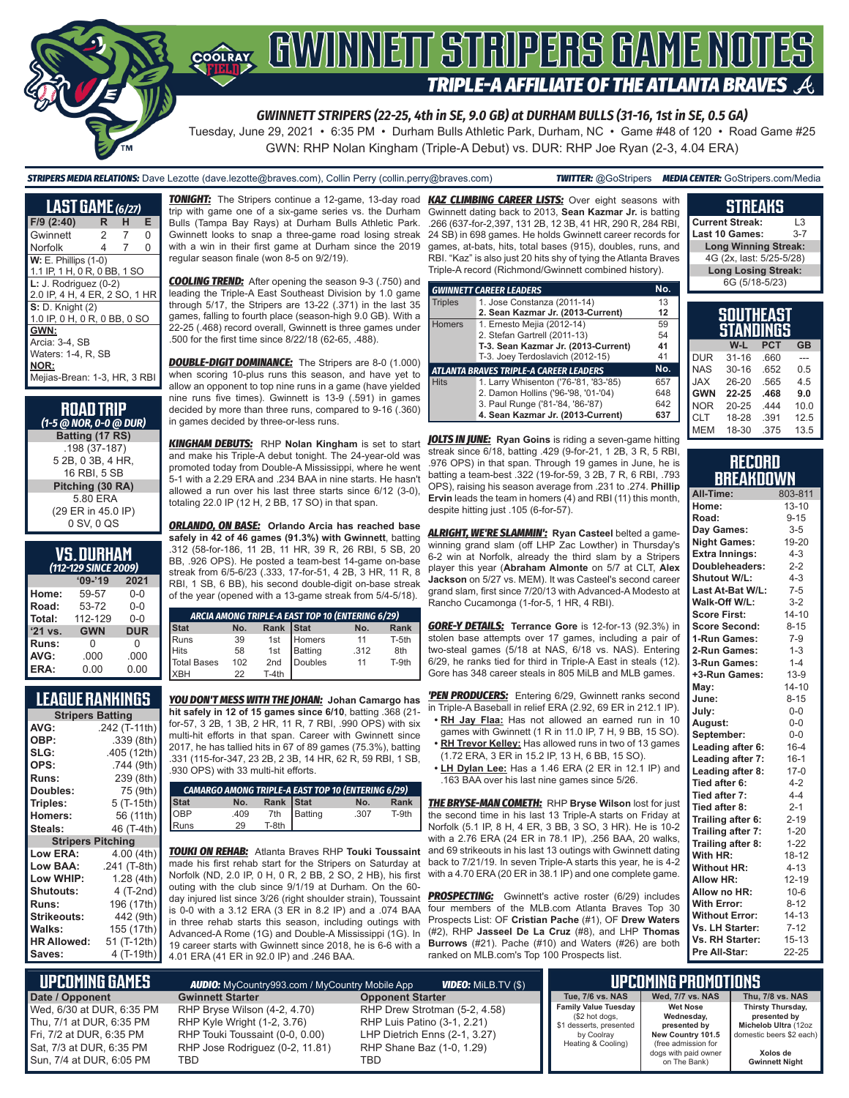# **SOFAY GWINNEIT STRIPERS GAME NOTES TRIPLE-A AFFILIATE OF THE ATLANTA BRAVES**

*GWINNETT STRIPERS (22-25, 4th in SE, 9.0 GB) at DURHAM BULLS (31-16, 1st in SE, 0.5 GA)*

Tuesday, June 29, 2021 • 6:35 PM • Durham Bulls Athletic Park, Durham, NC • Game #48 of 120 • Road Game #25 GWN: RHP Nolan Kingham (Triple-A Debut) vs. DUR: RHP Joe Ryan (2-3, 4.04 ERA)

*STRIPERS MEDIA RELATIONS:* Dave Lezotte (dave.lezotte@braves.com), Collin Perry (collin.perry@braves.com) *TWITTER:* @GoStripers *MEDIA CENTER:* GoStripers.com/Media

### **STREAKS**

**Current Streak:** L3

| <b>LAST GAME (6/27)</b>       |    |   |          |  |  |
|-------------------------------|----|---|----------|--|--|
| F/9 (2:40)                    | R. | н | Е        |  |  |
| Gwinnett                      | 2  | 7 | $\Omega$ |  |  |
| Norfolk                       | 4  | 7 | $\Omega$ |  |  |
| <b>W: E. Phillips (1-0)</b>   |    |   |          |  |  |
| 1.1 IP, 1 H, 0 R, 0 BB, 1 SO  |    |   |          |  |  |
| $L: J.$ Rodriguez $(0-2)$     |    |   |          |  |  |
| 2.0 IP, 4 H, 4 ER, 2 SO, 1 HR |    |   |          |  |  |
| <b>S:</b> D. Knight (2)       |    |   |          |  |  |
| 1.0 IP, 0 H, 0 R, 0 BB, 0 SO  |    |   |          |  |  |
| GWN:                          |    |   |          |  |  |
| Arcia: 3-4, SB                |    |   |          |  |  |
| Waters: 1-4, R, SB            |    |   |          |  |  |
| NOR:                          |    |   |          |  |  |
| Mejias-Brean: 1-3, HR, 3 RBI  |    |   |          |  |  |

| <b>ROAD TRIP</b><br>(1-5 @ NOR, 0-0 @ DUR) |
|--------------------------------------------|
| Batting (17 RS)                            |
| .198 (37-187)                              |
| 5 2B, 0 3B, 4 HR,                          |
| 16 RBI, 5 SB                               |
| Pitching (30 RA)                           |
| 5.80 ERA                                   |
| (29 ER in 45.0 IP)                         |
| 0 SV, 0 QS                                 |

#### **VS. DURHAM**

| (112-129 SINCE 2009) |            |            |  |  |
|----------------------|------------|------------|--|--|
|                      | $09 - 19$  | 2021       |  |  |
| Home:                | 59-57      | $0 - 0$    |  |  |
| Road:                | 53-72      | $0 - 0$    |  |  |
| Total:               | 112-129    | $0 - 0$    |  |  |
| '21 vs.              | <b>GWN</b> | <b>DUR</b> |  |  |
| Runs:                | O          | 0          |  |  |
| AVG:                 | .000       | .000       |  |  |
| ERA:                 | 0.00       | 0.00       |  |  |

#### **LEAGUE RANKINGS**

| <b>Stripers Batting</b>  |               |  |  |
|--------------------------|---------------|--|--|
| AVG:                     | .242 (T-11th) |  |  |
| OBP:                     | .339 (8th)    |  |  |
| SLG:                     | .405 (12th)   |  |  |
| OPS:                     | .744 (9th)    |  |  |
| Runs:                    | 239 (8th)     |  |  |
| Doubles:                 | 75 (9th)      |  |  |
| Triples:                 | 5 (T-15th)    |  |  |
| Homers:                  | 56 (11th)     |  |  |
| Steals:                  | 46 (T-4th)    |  |  |
| <b>Stripers Pitching</b> |               |  |  |
| Low ERA:                 | 4.00 (4th)    |  |  |
| Low BAA:                 | .241 (T-8th)  |  |  |
| Low WHIP:                | 1.28 (4th)    |  |  |
| <b>Shutouts:</b>         | 4 (T-2nd)     |  |  |
| <b>Runs:</b>             | 196 (17th)    |  |  |
| <b>Strikeouts:</b>       | 442 (9th)     |  |  |
| Walks:                   | 155 (17th)    |  |  |
| <b>HR Allowed:</b>       | 51 (T-12th)   |  |  |
| Saves:                   | 4 (T-19th)    |  |  |

*TONIGHT:* The Stripers continue a 12-game, 13-day road trip with game one of a six-game series vs. the Durham Bulls (Tampa Bay Rays) at Durham Bulls Athletic Park. Gwinnett looks to snap a three-game road losing streak with a win in their first game at Durham since the 2019 regular season finale (won 8-5 on 9/2/19).

*COOLING TREND:* After opening the season 9-3 (.750) and leading the Triple-A East Southeast Division by 1.0 game through 5/17, the Stripers are 13-22 (.371) in the last 35 games, falling to fourth place (season-high 9.0 GB). With a 22-25 (.468) record overall, Gwinnett is three games under .500 for the first time since 8/22/18 (62-65, .488).

**DOUBLE-DIGIT DOMINANCE:** The Stripers are 8-0 (1.000) when scoring 10-plus runs this season, and have yet to allow an opponent to top nine runs in a game (have yielded nine runs five times). Gwinnett is 13-9 (.591) in games decided by more than three runs, compared to 9-16 (.360) in games decided by three-or-less runs.

*KINGHAM DEBUTS:* RHP **Nolan Kingham** is set to start and make his Triple-A debut tonight. The 24-year-old was promoted today from Double-A Mississippi, where he went 5-1 with a 2.29 ERA and .234 BAA in nine starts. He hasn't allowed a run over his last three starts since 6/12 (3-0), totaling 22.0 IP (12 H, 2 BB, 17 SO) in that span.

*ORLANDO, ON BASE:* **Orlando Arcia has reached base safely in 42 of 46 games (91.3%) with Gwinnett**, batting .312 (58-for-186, 11 2B, 11 HR, 39 R, 26 RBI, 5 SB, 20 BB, .926 OPS). He posted a team-best 14-game on-base streak from 6/5-6/23 (.333, 17-for-51, 4 2B, 3 HR, 11 R, 8 RBI, 1 SB, 6 BB), his second double-digit on-base streak of the year (opened with a 13-game streak from 5/4-5/18).

| ARCIA AMONG TRIPLE-A EAST TOP 10 (ENTERING 6/29) |     |           |             |      |       |
|--------------------------------------------------|-----|-----------|-------------|------|-------|
| <b>Stat</b>                                      | No. | Rank Stat |             | No.  | Rank  |
| Runs<br>Hits<br>Total Bases                      | 39  |           | 1st Homers  | 11   | T-5th |
|                                                  | 58  |           | 1st Batting | .312 | 8th   |
|                                                  | 102 | 2nd       | Doubles     | 11   | T-9th |
| <b>IXBH</b>                                      | 22  | $T-4th$   |             |      |       |

*YOU DON'T MESS WITH THE JOHAN:* **Johan Camargo has hit safely in 12 of 15 games since 6/10**, batting .368 (21 for-57, 3 2B, 1 3B, 2 HR, 11 R, 7 RBI, .990 OPS) with six multi-hit efforts in that span. Career with Gwinnett since 2017, he has tallied hits in 67 of 89 games (75.3%), batting .331 (115-for-347, 23 2B, 2 3B, 14 HR, 62 R, 59 RBI, 1 SB, .930 OPS) with 33 multi-hit efforts.

|                     |      |           | <b>CAMARGO AMONG TRIPLE-A EAST TOP 10 (ENTERING 6/29)</b> |      |       |
|---------------------|------|-----------|-----------------------------------------------------------|------|-------|
|                     | No.  | Rank Stat |                                                           | No.  | Rank  |
| Stat<br>OBP<br>Runs | .409 |           | 7th Batting<br>T-8th                                      | .307 | T-9th |
|                     | 29   |           |                                                           |      |       |

*TOUKI ON REHAB:* Atlanta Braves RHP **Touki Toussaint** made his first rehab start for the Stripers on Saturday at Norfolk (ND, 2.0 IP, 0 H, 0 R, 2 BB, 2 SO, 2 HB), his first outing with the club since 9/1/19 at Durham. On the 60 day injured list since 3/26 (right shoulder strain), Toussaint is 0-0 with a 3.12 ERA (3 ER in 8.2 IP) and a .074 BAA in three rehab starts this season, including outings with Advanced-A Rome (1G) and Double-A Mississippi (1G). In 19 career starts with Gwinnett since 2018, he is 6-6 with a 4.01 ERA (41 ER in 92.0 IP) and .246 BAA.

*KAZ CLIMBING CAREER LISTS:* Over eight seasons with Gwinnett dating back to 2013, **Sean Kazmar Jr.** is batting .266 (637-for-2,397, 131 2B, 12 3B, 41 HR, 290 R, 284 RBI, 24 SB) in 698 games. He holds Gwinnett career records for games, at-bats, hits, total bases (915), doubles, runs, and RBI. "Kaz" is also just 20 hits shy of tying the Atlanta Braves Triple-A record (Richmond/Gwinnett combined history).

|                | <b>GWINNETT CAREER LEADERS</b>                | No. |
|----------------|-----------------------------------------------|-----|
| <b>Triples</b> | 1. Jose Constanza (2011-14)                   | 13  |
|                | 2. Sean Kazmar Jr. (2013-Current)             | 12  |
| <b>Homers</b>  | 1. Ernesto Mejia (2012-14)                    | 59  |
|                | 2. Stefan Gartrell (2011-13)                  | 54  |
|                | T-3. Sean Kazmar Jr. (2013-Current)           | 41  |
|                | T-3. Joey Terdoslavich (2012-15)              | 41  |
|                | <b>ATLANTA BRAVES TRIPLE-A CAREER LEADERS</b> | No. |
| <b>Hits</b>    | 1. Larry Whisenton ('76-'81, '83-'85)         | 657 |
|                | 2. Damon Hollins ('96-'98, '01-'04)           | 648 |
|                | 3. Paul Runge ('81-'84, '86-'87)              | 642 |
|                | 4. Sean Kazmar Jr. (2013-Current)             | 637 |

**JOLTS IN JUNE:** Ryan Goins is riding a seven-game hitting streak since 6/18, batting .429 (9-for-21, 1 2B, 3 R, 5 RBI, .976 OPS) in that span. Through 19 games in June, he is batting a team-best .322 (19-for-59, 3 2B, 7 R, 6 RBI, .793 OPS), raising his season average from .231 to .274. **Phillip Ervin** leads the team in homers (4) and RBI (11) this month, despite hitting just .105 (6-for-57).

*ALRIGHT, WE'RE SLAMMIN':* **Ryan Casteel** belted a gamewinning grand slam (off LHP Zac Lowther) in Thursday's 6-2 win at Norfolk, already the third slam by a Stripers player this year (**Abraham Almonte** on 5/7 at CLT, **Alex Jackson** on 5/27 vs. MEM). It was Casteel's second career grand slam, first since 7/20/13 with Advanced-A Modesto at Rancho Cucamonga (1-for-5, 1 HR, 4 RBI).

*GORE-Y DETAILS:* **Terrance Gore** is 12-for-13 (92.3%) in stolen base attempts over 17 games, including a pair of two-steal games (5/18 at NAS, 6/18 vs. NAS). Entering 6/29, he ranks tied for third in Triple-A East in steals (12). Gore has 348 career steals in 805 MiLB and MLB games.

*'PEN PRODUCERS:* Entering 6/29, Gwinnett ranks second in Triple-A Baseball in relief ERA (2.92, 69 ER in 212.1 IP).

- **• RH Jay Flaa:** Has not allowed an earned run in 10 games with Gwinnett (1 R in 11.0 IP, 7 H, 9 BB, 15 SO).
- **• RH Trevor Kelley:** Has allowed runs in two of 13 games (1.72 ERA, 3 ER in 15.2 IP, 13 H, 6 BB, 15 SO).
- **• LH Dylan Lee:** Has a 1.46 ERA (2 ER in 12.1 IP) and .163 BAA over his last nine games since 5/26.

*THE BRYSE-MAN COMETH:* RHP **Bryse Wilson** lost for just the second time in his last 13 Triple-A starts on Friday at Norfolk (5.1 IP, 8 H, 4 ER, 3 BB, 3 SO, 3 HR). He is 10-2 with a 2.76 ERA (24 ER in 78.1 IP), .256 BAA, 20 walks, and 69 strikeouts in his last 13 outings with Gwinnett dating back to 7/21/19. In seven Triple-A starts this year, he is 4-2 with a 4.70 ERA (20 ER in 38.1 IP) and one complete game.

**PROSPECTING:** Gwinnett's active roster (6/29) includes four members of the MLB.com Atlanta Braves Top 30 Prospects List: OF **Cristian Pache** (#1), OF **Drew Waters** (#2), RHP **Jasseel De La Cruz** (#8), and LHP **Thomas Burrows** (#21). Pache (#10) and Waters (#26) are both ranked on MLB.com's Top 100 Prospects list.

| <b>Last 10 Games:</b>                | $3 - 7$ |
|--------------------------------------|---------|
| <b>Long Winning Streak:</b>          |         |
| 4G (2x, last: 5/25-5/28)             |         |
| <b>Long Losing Streak:</b>           |         |
| 6G (5/18-5/23)                       |         |
|                                      |         |
| <b>SOUTHEAST</b><br><b>PTANNINGG</b> |         |

|            | <b>STANDINGS</b> |            |           |  |  |
|------------|------------------|------------|-----------|--|--|
|            | W-L              | <b>PCT</b> | <b>GB</b> |  |  |
| <b>DUR</b> | $31 - 16$        | .660       |           |  |  |
| <b>NAS</b> | $30 - 16$        | .652       | 0.5       |  |  |
| <b>JAX</b> | 26-20            | .565       | 45        |  |  |
| <b>GWN</b> | 22-25            | .468       | 9.0       |  |  |
| <b>NOR</b> | $20 - 25$        | 444        | 10.0      |  |  |
| <b>CLT</b> | 18-28            | .391       | 12.5      |  |  |
| <b>MEM</b> | 18-30            | .375       | 13.5      |  |  |

#### **RECORD BREAKDOWN**

| All-Time:             | 803-811   |  |  |
|-----------------------|-----------|--|--|
| Home:                 | $13 - 10$ |  |  |
| Road:                 | $9 - 15$  |  |  |
| Day Games:            | $3 - 5$   |  |  |
| <b>Night Games:</b>   | 19-20     |  |  |
| <b>Extra Innings:</b> | $4 - 3$   |  |  |
| Doubleheaders:        | $2 - 2$   |  |  |
| Shutout W/L:          | $4 - 3$   |  |  |
| Last At-Bat W/L:      | $7-5$     |  |  |
| Walk-Off W/L:         | $3-2$     |  |  |
| <b>Score First:</b>   | $14 - 10$ |  |  |
| <b>Score Second:</b>  | $8 - 15$  |  |  |
| 1-Run Games:          | $7-9$     |  |  |
| 2-Run Games:          | $1 - 3$   |  |  |
| 3-Run Games:          | $1 - 4$   |  |  |
| +3-Run Games:         | $13-9$    |  |  |
| May:                  | $14 - 10$ |  |  |
| June:                 | $8 - 15$  |  |  |
| July:                 | $0-0$     |  |  |
| August:               | $0-0$     |  |  |
| September:            | $0 - 0$   |  |  |
| Leading after 6:      | $16 - 4$  |  |  |
| Leading after 7:      | $16-1$    |  |  |
| Leading after 8:      | $17-0$    |  |  |
| Tied after 6:         | $4 - 2$   |  |  |
| Tied after 7:         | $4 - 4$   |  |  |
| Tied after 8:         | $2 - 1$   |  |  |
| Trailing after 6:     | $2 - 19$  |  |  |
| Trailing after 7:     | $1 - 20$  |  |  |
| Trailing after 8:     | $1 - 22$  |  |  |
| With HR:              | 18-12     |  |  |
| <b>Without HR:</b>    | $4 - 13$  |  |  |
| <b>Allow HR:</b>      | $12 - 19$ |  |  |
| Allow no HR:          | $10 - 6$  |  |  |
| <b>With Error:</b>    | $8 - 12$  |  |  |
| <b>Without Error:</b> | $14 - 13$ |  |  |
| Vs. LH Starter:       | $7 - 12$  |  |  |
| Vs. RH Starter:       | $15 - 13$ |  |  |
| Pre All-Star:         | 22-25     |  |  |

| <b>UPCOMING GAMES</b><br><b>AUDIO:</b> MyCountry993.com / MyCountry Mobile App<br><b>VIDEO:</b> Milb.TV (\$)                                |                                                                                                                                          |                                                                                                                                   |                                                                                                              | LIPCOMING PROMOTIONS                                                                                                       |                                                                                                                            |
|---------------------------------------------------------------------------------------------------------------------------------------------|------------------------------------------------------------------------------------------------------------------------------------------|-----------------------------------------------------------------------------------------------------------------------------------|--------------------------------------------------------------------------------------------------------------|----------------------------------------------------------------------------------------------------------------------------|----------------------------------------------------------------------------------------------------------------------------|
| Date / Opponent                                                                                                                             | <b>Gwinnett Starter</b>                                                                                                                  | <b>Opponent Starter</b>                                                                                                           | Tue, 7/6 vs. NAS                                                                                             | Wed. 7/7 vs. NAS                                                                                                           | Thu. 7/8 vs. NAS                                                                                                           |
| Wed, 6/30 at DUR, 6:35 PM<br>Thu, 7/1 at DUR, 6:35 PM<br>Fri. 7/2 at DUR. 6:35 PM<br>Sat, 7/3 at DUR, 6:35 PM<br>l Sun. 7/4 at DUR. 6:05 PM | RHP Bryse Wilson (4-2, 4.70)<br>RHP Kyle Wright (1-2, 3.76)<br>RHP Touki Toussaint (0-0, 0.00)<br>RHP Jose Rodriguez (0-2, 11.81)<br>TBD | RHP Drew Strotman (5-2, 4.58)<br>RHP Luis Patino (3-1, 2.21)<br>LHP Dietrich Enns (2-1, 3.27)<br>RHP Shane Baz (1-0, 1.29)<br>TBD | <b>Family Value Tuesday</b><br>(\$2 hot dogs,<br>\$1 desserts, presented<br>by Coolrav<br>Heating & Cooling) | Wet Nose<br>Wednesday,<br>presented by<br>New Country 101.5<br>(free admission for<br>dogs with paid owner<br>on The Bank) | Thirsty Thursday,<br>presented by<br>Michelob Ultra (12oz<br>domestic beers \$2 each)<br>Xolos de<br><b>Gwinnett Night</b> |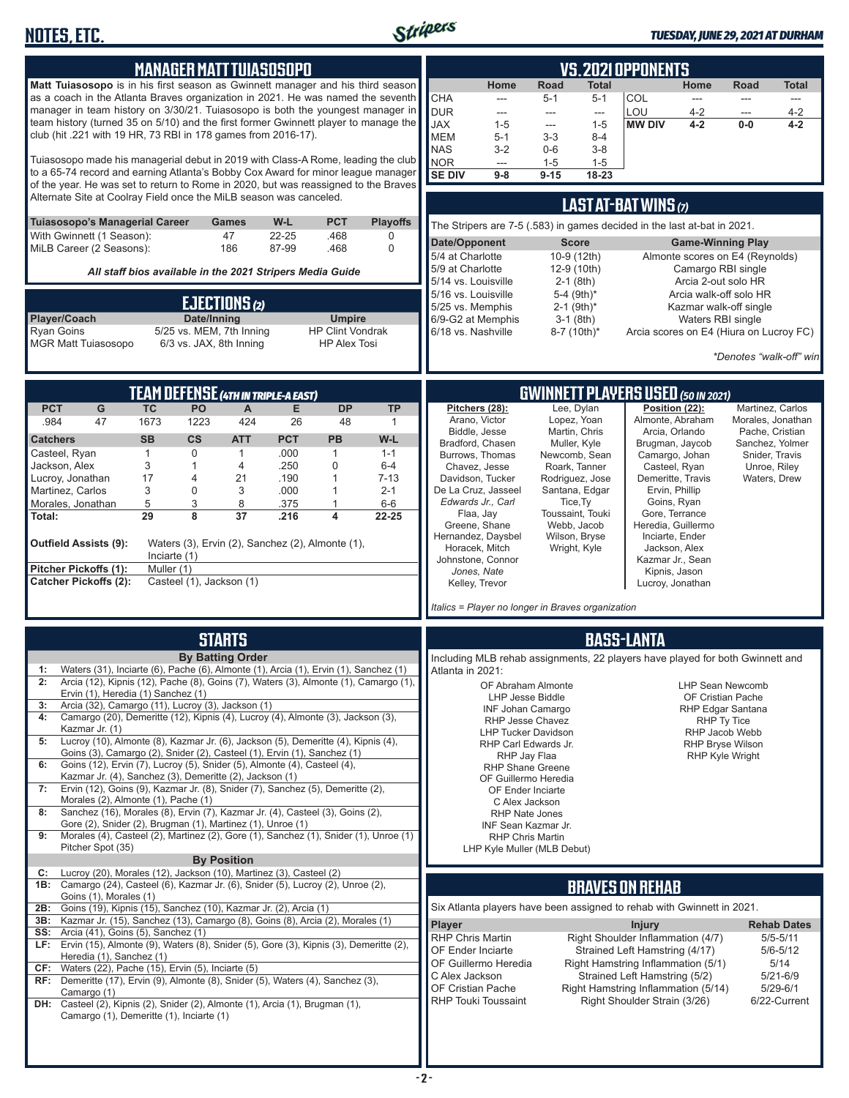

| <b>MANAGER MATT TUIASOSOPO</b><br><b>Matt Tuiasosopo</b> is in his first season as Gwinnett manager and his third season<br>as a coach in the Atlanta Braves organization in 2021. He was named the seventh<br>manager in team history on 3/30/21. Tuiasosopo is both the youngest manager in<br>team history (turned 35 on 5/10) and the first former Gwinnett player to manage the<br>club (hit .221 with 19 HR, 73 RBI in 178 games from 2016-17).<br>Tuiasosopo made his managerial debut in 2019 with Class-A Rome, leading the club<br>to a 65-74 record and earning Atlanta's Bobby Cox Award for minor league manager<br>of the year. He was set to return to Rome in 2020, but was reassigned to the Braves<br>Alternate Site at Coolray Field once the MiLB season was canceled. | <b>VS. 2021 OPPONENTS</b><br>Home<br>Road<br><b>Total</b><br>Home<br>Road<br>Total<br>CHA<br>COL<br>$5 - 1$<br>$5 - 1$<br>---<br>---<br>---<br>---<br><b>DUR</b><br>LOU<br>$4 - 2$<br>$4 - 2$<br>$\frac{1}{2}$<br>---<br>$\overline{a}$<br>---<br><b>JAX</b><br>$1 - 5$<br>$1 - 5$<br><b>MW DIV</b><br>$4 - 2$<br>$0-0$<br>4-2<br>---<br><b>MEM</b><br>$5 - 1$<br>$3 - 3$<br>$8 - 4$<br><b>NAS</b><br>$3-2$<br>$0-6$<br>$3-8$<br><b>NOR</b><br>$1 - 5$<br>$1 - 5$<br>---<br><b>SE DIV</b><br>$9 - 8$<br>$9 - 15$<br>18-23 |
|--------------------------------------------------------------------------------------------------------------------------------------------------------------------------------------------------------------------------------------------------------------------------------------------------------------------------------------------------------------------------------------------------------------------------------------------------------------------------------------------------------------------------------------------------------------------------------------------------------------------------------------------------------------------------------------------------------------------------------------------------------------------------------------------|---------------------------------------------------------------------------------------------------------------------------------------------------------------------------------------------------------------------------------------------------------------------------------------------------------------------------------------------------------------------------------------------------------------------------------------------------------------------------------------------------------------------------|
|                                                                                                                                                                                                                                                                                                                                                                                                                                                                                                                                                                                                                                                                                                                                                                                            | LAST AT-BAT WINS (7)                                                                                                                                                                                                                                                                                                                                                                                                                                                                                                      |
| W-L<br><b>PCT</b><br><b>Playoffs</b><br><b>Tuiasosopo's Managerial Career</b><br>Games<br>With Gwinnett (1 Season):<br>47<br>22-25<br>.468<br>0                                                                                                                                                                                                                                                                                                                                                                                                                                                                                                                                                                                                                                            | The Stripers are 7-5 (.583) in games decided in the last at-bat in 2021.                                                                                                                                                                                                                                                                                                                                                                                                                                                  |
| MiLB Career (2 Seasons):<br>87-99<br>$\mathbf 0$<br>186<br>.468                                                                                                                                                                                                                                                                                                                                                                                                                                                                                                                                                                                                                                                                                                                            | Date/Opponent<br><b>Score</b><br><b>Game-Winning Play</b>                                                                                                                                                                                                                                                                                                                                                                                                                                                                 |
| All staff bios available in the 2021 Stripers Media Guide                                                                                                                                                                                                                                                                                                                                                                                                                                                                                                                                                                                                                                                                                                                                  | 10-9 (12th)<br>Almonte scores on E4 (Reynolds)<br>5/4 at Charlotte<br>12-9 (10th)<br>5/9 at Charlotte<br>Camargo RBI single                                                                                                                                                                                                                                                                                                                                                                                               |
|                                                                                                                                                                                                                                                                                                                                                                                                                                                                                                                                                                                                                                                                                                                                                                                            | $2-1$ (8th)<br>5/14 vs. Louisville<br>Arcia 2-out solo HR<br>5-4 (9th)*                                                                                                                                                                                                                                                                                                                                                                                                                                                   |
| EJECTIONS (2)                                                                                                                                                                                                                                                                                                                                                                                                                                                                                                                                                                                                                                                                                                                                                                              | 5/16 vs. Louisville<br>Arcia walk-off solo HR<br>$2-1$ (9th)*<br>5/25 vs. Memphis<br>Kazmar walk-off single                                                                                                                                                                                                                                                                                                                                                                                                               |
| Date/Inning<br>Player/Coach<br><b>Umpire</b>                                                                                                                                                                                                                                                                                                                                                                                                                                                                                                                                                                                                                                                                                                                                               | 6/9-G2 at Memphis<br>$3-1$ (8th)<br>Waters RBI single                                                                                                                                                                                                                                                                                                                                                                                                                                                                     |
| <b>Ryan Goins</b><br>5/25 vs. MEM, 7th Inning<br><b>HP Clint Vondrak</b><br><b>MGR Matt Tuiasosopo</b><br>6/3 vs. JAX, 8th Inning<br><b>HP Alex Tosi</b>                                                                                                                                                                                                                                                                                                                                                                                                                                                                                                                                                                                                                                   | 6/18 vs. Nashville<br>8-7 (10th)*<br>Arcia scores on E4 (Hiura on Lucroy FC)                                                                                                                                                                                                                                                                                                                                                                                                                                              |
|                                                                                                                                                                                                                                                                                                                                                                                                                                                                                                                                                                                                                                                                                                                                                                                            | *Denotes "walk-off" win                                                                                                                                                                                                                                                                                                                                                                                                                                                                                                   |
|                                                                                                                                                                                                                                                                                                                                                                                                                                                                                                                                                                                                                                                                                                                                                                                            |                                                                                                                                                                                                                                                                                                                                                                                                                                                                                                                           |
| <b>TEAM DEFENSE (4TH IN TRIPLE-A EAST)</b>                                                                                                                                                                                                                                                                                                                                                                                                                                                                                                                                                                                                                                                                                                                                                 | <b>GWINNETT PLAYERS USED (50 IN 2021)</b>                                                                                                                                                                                                                                                                                                                                                                                                                                                                                 |
| <b>PCT</b><br>PO<br><b>DP</b><br><b>TP</b><br>G<br><b>TC</b><br>A<br>Е                                                                                                                                                                                                                                                                                                                                                                                                                                                                                                                                                                                                                                                                                                                     | Pitchers (28):<br>Lee, Dylan<br>Position (22):<br>Martinez, Carlos                                                                                                                                                                                                                                                                                                                                                                                                                                                        |
| 47<br>424<br>.984<br>1673<br>1223<br>26<br>48<br>$\mathbf{1}$                                                                                                                                                                                                                                                                                                                                                                                                                                                                                                                                                                                                                                                                                                                              | Arano, Victor<br>Almonte, Abraham<br>Lopez, Yoan<br>Morales, Jonathan<br>Martin, Chris<br>Arcia, Orlando<br>Biddle, Jesse<br>Pache, Cristian                                                                                                                                                                                                                                                                                                                                                                              |
| <b>SB</b><br>$\mathsf{cs}$<br><b>ATT</b><br><b>PCT</b><br>PB<br>W-L<br><b>Catchers</b>                                                                                                                                                                                                                                                                                                                                                                                                                                                                                                                                                                                                                                                                                                     | Bradford, Chasen<br>Muller, Kyle<br>Brugman, Jaycob<br>Sanchez, Yolmer                                                                                                                                                                                                                                                                                                                                                                                                                                                    |
| $\mathbf{1}$<br>.000<br>Casteel, Ryan<br>0<br>$\mathbf{1}$<br>$1 - 1$<br>1<br>3<br>.250<br>Jackson, Alex<br>0<br>$6-4$<br>1<br>4                                                                                                                                                                                                                                                                                                                                                                                                                                                                                                                                                                                                                                                           | Camargo, Johan<br>Burrows, Thomas<br>Newcomb, Sean<br>Snider, Travis<br>Chavez, Jesse<br>Casteel, Ryan<br>Unroe, Riley<br>Roark, Tanner                                                                                                                                                                                                                                                                                                                                                                                   |
| 17<br>.190<br>Lucroy, Jonathan<br>21<br>$\mathbf{1}$<br>$7 - 13$<br>4                                                                                                                                                                                                                                                                                                                                                                                                                                                                                                                                                                                                                                                                                                                      | Davidson, Tucker<br>Rodriguez, Jose<br>Demeritte, Travis<br>Waters, Drew                                                                                                                                                                                                                                                                                                                                                                                                                                                  |
| 3<br>Martinez, Carlos<br>3<br>.000<br>$2 - 1$<br>0<br>1                                                                                                                                                                                                                                                                                                                                                                                                                                                                                                                                                                                                                                                                                                                                    | De La Cruz, Jasseel<br>Santana, Edgar<br>Ervin, Phillip<br>Edwards Jr., Carl<br>Tice, Ty<br>Goins, Ryan                                                                                                                                                                                                                                                                                                                                                                                                                   |
| 5<br>3<br>8<br>Morales, Jonathan<br>.375<br>1<br>$6-6$<br>29<br>8<br>37<br>.216<br>4<br>22-25<br>Total:                                                                                                                                                                                                                                                                                                                                                                                                                                                                                                                                                                                                                                                                                    | Toussaint, Touki<br>Flaa, Jay<br>Gore, Terrance                                                                                                                                                                                                                                                                                                                                                                                                                                                                           |
|                                                                                                                                                                                                                                                                                                                                                                                                                                                                                                                                                                                                                                                                                                                                                                                            | Greene, Shane<br>Webb, Jacob<br>Heredia, Guillermo                                                                                                                                                                                                                                                                                                                                                                                                                                                                        |
| Outfield Assists (9):<br>Waters (3), Ervin (2), Sanchez (2), Almonte (1),                                                                                                                                                                                                                                                                                                                                                                                                                                                                                                                                                                                                                                                                                                                  | Hernandez, Daysbel<br>Wilson, Bryse<br>Inciarte, Ender<br>Horacek, Mitch<br>Jackson, Alex<br>Wright, Kyle                                                                                                                                                                                                                                                                                                                                                                                                                 |
| Inciarte (1)                                                                                                                                                                                                                                                                                                                                                                                                                                                                                                                                                                                                                                                                                                                                                                               | Johnstone, Connor<br>Kazmar Jr., Sean                                                                                                                                                                                                                                                                                                                                                                                                                                                                                     |
| Pitcher Pickoffs (1):<br>Muller (1)<br>Casteel (1), Jackson (1)<br><b>Catcher Pickoffs (2):</b>                                                                                                                                                                                                                                                                                                                                                                                                                                                                                                                                                                                                                                                                                            | Jones, Nate<br>Kipnis, Jason<br>Kelley, Trevor<br>Lucroy, Jonathan                                                                                                                                                                                                                                                                                                                                                                                                                                                        |
|                                                                                                                                                                                                                                                                                                                                                                                                                                                                                                                                                                                                                                                                                                                                                                                            |                                                                                                                                                                                                                                                                                                                                                                                                                                                                                                                           |
|                                                                                                                                                                                                                                                                                                                                                                                                                                                                                                                                                                                                                                                                                                                                                                                            | Italics = Player no longer in Braves organization                                                                                                                                                                                                                                                                                                                                                                                                                                                                         |
| <b>STARTS</b>                                                                                                                                                                                                                                                                                                                                                                                                                                                                                                                                                                                                                                                                                                                                                                              | <b>BASS-LANTA</b>                                                                                                                                                                                                                                                                                                                                                                                                                                                                                                         |
| <b>By Batting Order</b>                                                                                                                                                                                                                                                                                                                                                                                                                                                                                                                                                                                                                                                                                                                                                                    | Including MLB rehab assignments, 22 players have played for both Gwinnett and                                                                                                                                                                                                                                                                                                                                                                                                                                             |
| 1: Waters (31), Inciarte (6), Pache (6), Almonte (1), Arcia (1), Ervin (1), Sanchez (1)                                                                                                                                                                                                                                                                                                                                                                                                                                                                                                                                                                                                                                                                                                    | Atlanta in 2021:                                                                                                                                                                                                                                                                                                                                                                                                                                                                                                          |
| 2: Arcia (12), Kipnis (12), Pache (8), Goins (7), Waters (3), Almonte (1), Camargo (1),<br>Ervin (1), Heredia (1) Sanchez (1)                                                                                                                                                                                                                                                                                                                                                                                                                                                                                                                                                                                                                                                              | OF Abraham Almonte<br><b>LHP Sean Newcomb</b>                                                                                                                                                                                                                                                                                                                                                                                                                                                                             |
| Arcia (32), Camargo (11), Lucroy (3), Jackson (1)<br>3:                                                                                                                                                                                                                                                                                                                                                                                                                                                                                                                                                                                                                                                                                                                                    | LHP Jesse Biddle<br>OF Cristian Pache<br><b>INF Johan Camargo</b><br>RHP Edgar Santana                                                                                                                                                                                                                                                                                                                                                                                                                                    |
| Camargo (20), Demeritte (12), Kipnis (4), Lucroy (4), Almonte (3), Jackson (3),<br>4:<br>Kazmar Jr. (1)                                                                                                                                                                                                                                                                                                                                                                                                                                                                                                                                                                                                                                                                                    | RHP Jesse Chavez<br>RHP Ty Tice                                                                                                                                                                                                                                                                                                                                                                                                                                                                                           |
| Lucroy (10), Almonte (8), Kazmar Jr. (6), Jackson (5), Demeritte (4), Kipnis (4),<br>5:                                                                                                                                                                                                                                                                                                                                                                                                                                                                                                                                                                                                                                                                                                    | <b>LHP Tucker Davidson</b><br>RHP Jacob Webb<br>RHP Carl Edwards Jr.<br><b>RHP Bryse Wilson</b>                                                                                                                                                                                                                                                                                                                                                                                                                           |
| Goins (3), Camargo (2), Snider (2), Casteel (1), Ervin (1), Sanchez (1)<br>Goins (12), Ervin (7), Lucroy (5), Snider (5), Almonte (4), Casteel (4),                                                                                                                                                                                                                                                                                                                                                                                                                                                                                                                                                                                                                                        | RHP Jay Flaa<br><b>RHP Kyle Wright</b>                                                                                                                                                                                                                                                                                                                                                                                                                                                                                    |
| 6:<br>Kazmar Jr. (4), Sanchez (3), Demeritte (2), Jackson (1)                                                                                                                                                                                                                                                                                                                                                                                                                                                                                                                                                                                                                                                                                                                              | <b>RHP Shane Greene</b><br>OF Guillermo Heredia                                                                                                                                                                                                                                                                                                                                                                                                                                                                           |
| Ervin (12), Goins (9), Kazmar Jr. (8), Snider (7), Sanchez (5), Demeritte (2),<br>7:                                                                                                                                                                                                                                                                                                                                                                                                                                                                                                                                                                                                                                                                                                       | OF Ender Inciarte                                                                                                                                                                                                                                                                                                                                                                                                                                                                                                         |
| Morales (2), Almonte (1), Pache (1)<br>Sanchez (16), Morales (8), Ervin (7), Kazmar Jr. (4), Casteel (3), Goins (2),<br>8:                                                                                                                                                                                                                                                                                                                                                                                                                                                                                                                                                                                                                                                                 | C Alex Jackson<br><b>RHP Nate Jones</b>                                                                                                                                                                                                                                                                                                                                                                                                                                                                                   |
| Gore (2), Snider (2), Brugman (1), Martinez (1), Unroe (1)                                                                                                                                                                                                                                                                                                                                                                                                                                                                                                                                                                                                                                                                                                                                 | INF Sean Kazmar Jr.                                                                                                                                                                                                                                                                                                                                                                                                                                                                                                       |
| Morales (4), Casteel (2), Martinez (2), Gore (1), Sanchez (1), Snider (1), Unroe (1)<br>9:<br>Pitcher Spot (35)                                                                                                                                                                                                                                                                                                                                                                                                                                                                                                                                                                                                                                                                            | <b>RHP Chris Martin</b>                                                                                                                                                                                                                                                                                                                                                                                                                                                                                                   |
| <b>By Position</b>                                                                                                                                                                                                                                                                                                                                                                                                                                                                                                                                                                                                                                                                                                                                                                         | LHP Kyle Muller (MLB Debut)                                                                                                                                                                                                                                                                                                                                                                                                                                                                                               |
| Lucroy (20), Morales (12), Jackson (10), Martinez (3), Casteel (2)<br>C:                                                                                                                                                                                                                                                                                                                                                                                                                                                                                                                                                                                                                                                                                                                   |                                                                                                                                                                                                                                                                                                                                                                                                                                                                                                                           |
| 1B: Camargo (24), Casteel (6), Kazmar Jr. (6), Snider (5), Lucroy (2), Unroe (2),<br>Goins (1), Morales (1)                                                                                                                                                                                                                                                                                                                                                                                                                                                                                                                                                                                                                                                                                | <b>BRAVES ON REHAB</b>                                                                                                                                                                                                                                                                                                                                                                                                                                                                                                    |
| Goins (19), Kipnis (15), Sanchez (10), Kazmar Jr. (2), Arcia (1)<br>2B:                                                                                                                                                                                                                                                                                                                                                                                                                                                                                                                                                                                                                                                                                                                    | Six Atlanta players have been assigned to rehab with Gwinnett in 2021.                                                                                                                                                                                                                                                                                                                                                                                                                                                    |
| Kazmar Jr. (15), Sanchez (13), Camargo (8), Goins (8), Arcia (2), Morales (1)<br>3B:<br>Arcia (41), Goins (5), Sanchez (1)<br>SS:                                                                                                                                                                                                                                                                                                                                                                                                                                                                                                                                                                                                                                                          | Player<br><b>Injury</b><br><b>Rehab Dates</b>                                                                                                                                                                                                                                                                                                                                                                                                                                                                             |
| LF: Ervin (15), Almonte (9), Waters (8), Snider (5), Gore (3), Kipnis (3), Demeritte (2),                                                                                                                                                                                                                                                                                                                                                                                                                                                                                                                                                                                                                                                                                                  | Right Shoulder Inflammation (4/7)<br><b>RHP Chris Martin</b><br>$5/5 - 5/11$                                                                                                                                                                                                                                                                                                                                                                                                                                              |
| Heredia (1), Sanchez (1)                                                                                                                                                                                                                                                                                                                                                                                                                                                                                                                                                                                                                                                                                                                                                                   | OF Ender Inciarte<br>Strained Left Hamstring (4/17)<br>$5/6 - 5/12$<br>OF Guillermo Heredia<br>Right Hamstring Inflammation (5/1)<br>5/14                                                                                                                                                                                                                                                                                                                                                                                 |
| CF:<br>Waters (22), Pache (15), Ervin (5), Inciarte (5)<br>RF: Demeritte (17), Ervin (9), Almonte (8), Snider (5), Waters (4), Sanchez (3),                                                                                                                                                                                                                                                                                                                                                                                                                                                                                                                                                                                                                                                | C Alex Jackson<br>Strained Left Hamstring (5/2)<br>$5/21 - 6/9$                                                                                                                                                                                                                                                                                                                                                                                                                                                           |
| Camargo (1)                                                                                                                                                                                                                                                                                                                                                                                                                                                                                                                                                                                                                                                                                                                                                                                | OF Cristian Pache<br>Right Hamstring Inflammation (5/14)<br>$5/29 - 6/1$                                                                                                                                                                                                                                                                                                                                                                                                                                                  |
| DH: Casteel (2), Kipnis (2), Snider (2), Almonte (1), Arcia (1), Brugman (1),<br>Camargo (1), Demeritte (1), Inciarte (1)                                                                                                                                                                                                                                                                                                                                                                                                                                                                                                                                                                                                                                                                  | <b>RHP Touki Toussaint</b><br>Right Shoulder Strain (3/26)<br>6/22-Current                                                                                                                                                                                                                                                                                                                                                                                                                                                |
|                                                                                                                                                                                                                                                                                                                                                                                                                                                                                                                                                                                                                                                                                                                                                                                            |                                                                                                                                                                                                                                                                                                                                                                                                                                                                                                                           |
|                                                                                                                                                                                                                                                                                                                                                                                                                                                                                                                                                                                                                                                                                                                                                                                            |                                                                                                                                                                                                                                                                                                                                                                                                                                                                                                                           |
|                                                                                                                                                                                                                                                                                                                                                                                                                                                                                                                                                                                                                                                                                                                                                                                            |                                                                                                                                                                                                                                                                                                                                                                                                                                                                                                                           |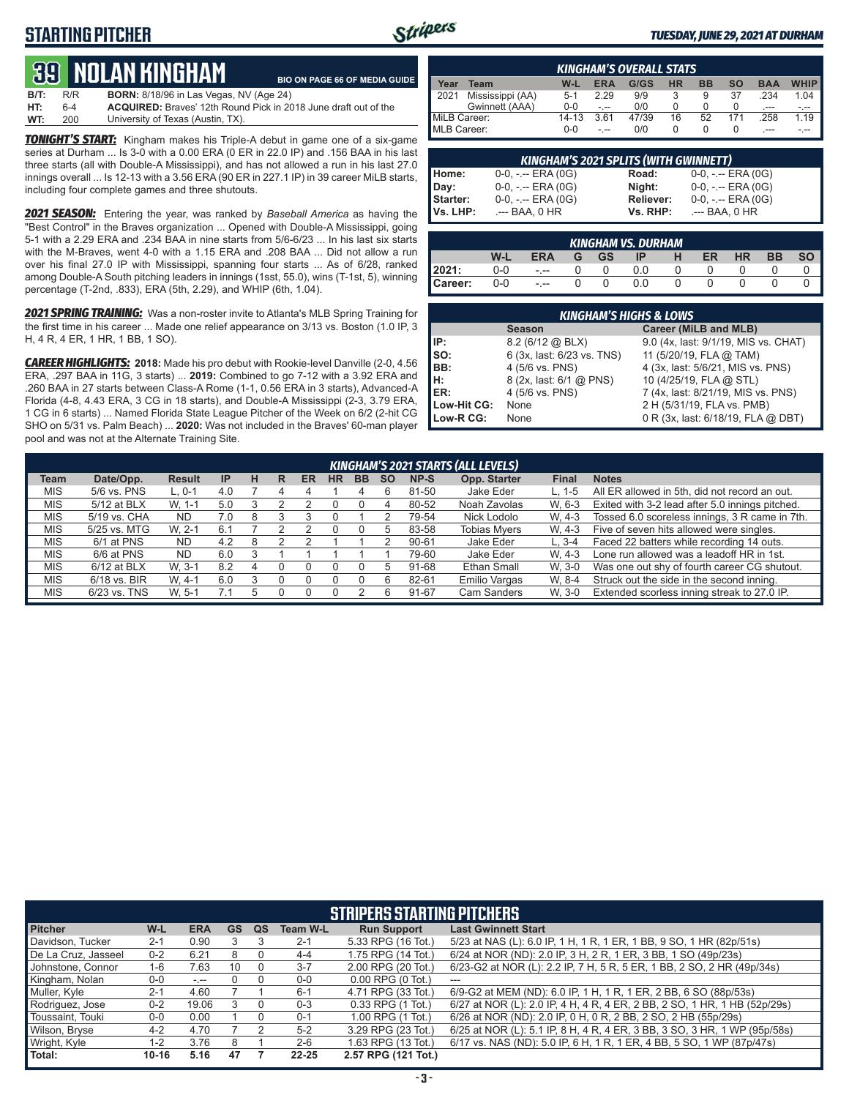#### **STARTING PITCHER**



#### *TUESDAY, JUNE 29, 2021 AT DURHAM*

## **39****NOLAN KINGHam**

**B/T:** R/R **BORN:** 8/18/96 in Las Vegas, NV (Age 24) **HT:** 6-4 **ACQUIRED:** Braves' 12th Round Pick in 2018 June draft out of the University of Texas (Austin, TX). **BIO ON PAGE 66 OF MEDIA GUIDE**

*TONIGHT'S START:* Kingham makes his Triple-A debut in game one of a six-game series at Durham ... Is 3-0 with a 0.00 ERA (0 ER in 22.0 IP) and .156 BAA in his last three starts (all with Double-A Mississippi), and has not allowed a run in his last 27.0 innings overall ... Is 12-13 with a 3.56 ERA (90 ER in 227.1 IP) in 39 career MiLB starts, including four complete games and three shutouts.

*2021 SEASON:* Entering the year, was ranked by *Baseball America* as having the "Best Control" in the Braves organization ... Opened with Double-A Mississippi, going 5-1 with a 2.29 ERA and .234 BAA in nine starts from 5/6-6/23 ... In his last six starts with the M-Braves, went 4-0 with a 1.15 ERA and .208 BAA ... Did not allow a run over his final 27.0 IP with Mississippi, spanning four starts ... As of 6/28, ranked among Double-A South pitching leaders in innings (1sst, 55.0), wins (T-1st, 5), winning percentage (T-2nd, .833), ERA (5th, 2.29), and WHIP (6th, 1.04).

*2021 SPRING TRAINING:* Was a non-roster invite to Atlanta's MLB Spring Training for the first time in his career ... Made one relief appearance on 3/13 vs. Boston (1.0 IP, 3 H, 4 R, 4 ER, 1 HR, 1 BB, 1 SO).

*CAREER HIGHLIGHTS:* **2018:** Made his pro debut with Rookie-level Danville (2-0, 4.56 ERA, .297 BAA in 11G, 3 starts) ... **2019:** Combined to go 7-12 with a 3.92 ERA and .260 BAA in 27 starts between Class-A Rome (1-1, 0.56 ERA in 3 starts), Advanced-A Florida (4-8, 4.43 ERA, 3 CG in 18 starts), and Double-A Mississippi (2-3, 3.79 ERA, 1 CG in 6 starts) ... Named Florida State League Pitcher of the Week on 6/2 (2-hit CG SHO on 5/31 vs. Palm Beach) ... **2020:** Was not included in the Braves' 60-man player pool and was not at the Alternate Training Site.

| <b>KINGHAM'S OVERALL STATS</b> |                  |           |            |       |    |           |     |            |             |  |
|--------------------------------|------------------|-----------|------------|-------|----|-----------|-----|------------|-------------|--|
| <b>Year</b>                    | Team             | W-L       | <b>ERA</b> | G/GS  | НR | <b>BB</b> | SΟ  | <b>BAA</b> | <b>WHIP</b> |  |
| 12021                          | Mississippi (AA) | $5-1$     | 2.29       | 9/9   |    | 9         | 37  | .234       | 1.04        |  |
|                                | Gwinnett (AAA)   | $0 - 0$   |            | 0/0   |    | 0         |     | $---$      |             |  |
| MiLB Career:                   |                  | $14 - 13$ | 3.61       | 47/39 | 16 | 52        | 171 | .258       | 1.19        |  |
| MLB Career:                    |                  | 0-0       |            | 0/0   |    |           |     |            |             |  |

| <b>KINGHAM'S 2021 SPLITS (WITH GWINNETT)</b> |                       |              |                     |  |  |  |  |  |  |
|----------------------------------------------|-----------------------|--------------|---------------------|--|--|--|--|--|--|
|                                              | $0-0, - -$ ERA $(0G)$ | <b>Road:</b> | 0-0, -.-- ERA (0G)  |  |  |  |  |  |  |
|                                              | $0-0, - -$ ERA $(0G)$ | Night:       | $0-0, - -$ ERA (0G) |  |  |  |  |  |  |
|                                              | $0-0, - -$ ERA $(0G)$ | Reliever:    | $0-0, - -$ ERA (0G) |  |  |  |  |  |  |
| Home:<br>Day:<br>Starter:<br>Vs. LHP:        | .--- BAA, 0 HR        | Vs. RHP:     | .--- BAA, 0 HR      |  |  |  |  |  |  |

| <b>KINGHAM VS. DURHAM</b> |       |      |  |      |     |   |    |           |           |           |  |
|---------------------------|-------|------|--|------|-----|---|----|-----------|-----------|-----------|--|
|                           | W-L   | ERA  |  | G GS | IP  | H | ER | <b>HR</b> | <b>BB</b> | <b>SO</b> |  |
| 2021:                     | 0-0   | $ -$ |  | 0    | 0.0 |   |    |           |           |           |  |
| Career:                   | $0-0$ | $-1$ |  | 0    | 0.0 |   |    |           |           |           |  |

| <b>KINGHAM'S HIGHS &amp; LOWS</b> |                            |                                      |  |  |  |  |  |  |  |
|-----------------------------------|----------------------------|--------------------------------------|--|--|--|--|--|--|--|
|                                   | <b>Season</b>              | Career (MiLB and MLB)                |  |  |  |  |  |  |  |
| IP:                               | $8.2$ (6/12 @ BLX)         | 9.0 (4x, last: 9/1/19, MIS vs. CHAT) |  |  |  |  |  |  |  |
| SO:                               | 6 (3x, last: 6/23 vs. TNS) | 11 (5/20/19, FLA @ TAM)              |  |  |  |  |  |  |  |
| BB:                               | 4 (5/6 vs. PNS)            | 4 (3x, last: 5/6/21, MIS vs. PNS)    |  |  |  |  |  |  |  |
| н:                                | 8 (2x, last: 6/1 @ PNS)    | 10 (4/25/19, FLA @ STL)              |  |  |  |  |  |  |  |
| ER:                               | 4 (5/6 vs. PNS)            | 7 (4x, last: 8/21/19, MIS vs. PNS)   |  |  |  |  |  |  |  |
| Low-Hit CG:                       | None                       | 2 H (5/31/19, FLA vs. PMB)           |  |  |  |  |  |  |  |
| Low-R CG:                         | <b>None</b>                | 0 R (3x, last: 6/18/19, FLA @ DBT)   |  |  |  |  |  |  |  |

| <b>KINGHAM'S 2021 STARTS (ALL LEVELS)</b> |               |               |           |   |   |    |           |           |           |           |                     |              |                                                 |
|-------------------------------------------|---------------|---------------|-----------|---|---|----|-----------|-----------|-----------|-----------|---------------------|--------------|-------------------------------------------------|
| Team                                      | Date/Opp.     | <b>Result</b> | <b>IP</b> | н | R | ER | <b>HR</b> | <b>BB</b> | <b>SO</b> | NP-S      | Opp. Starter        | <b>Final</b> | <b>Notes</b>                                    |
| <b>MIS</b>                                | 5/6 vs. PNS   | $L.0-1$       | 4.0       |   |   |    |           |           |           | 81-50     | Jake Eder           | $L. 1-5$     | All ER allowed in 5th, did not record an out.   |
| <b>MIS</b>                                | 5/12 at BLX   | W. 1-1        | 5.0       |   |   |    |           |           |           | 80-52     | Noah Zavolas        | W. 6-3       | Exited with 3-2 lead after 5.0 innings pitched. |
| <b>MIS</b>                                | 5/19 vs. CHA  | <b>ND</b>     | 7.0       | 8 |   |    |           |           |           | 79-54     | Nick Lodolo         | W. 4-3       | Tossed 6.0 scoreless innings, 3 R came in 7th.  |
| <b>MIS</b>                                | 5/25 vs. MTG  | W. 2-1        | 6.1       |   |   |    |           |           |           | 83-58     | <b>Tobias Myers</b> | W. 4-3       | Five of seven hits allowed were singles.        |
| <b>MIS</b>                                | 6/1 at PNS    | <b>ND</b>     | 4.2       | 8 |   |    |           |           |           | $90 - 61$ | Jake Eder           | $L.3 - 4$    | Faced 22 batters while recording 14 outs.       |
| <b>MIS</b>                                | 6/6 at PNS    | <b>ND</b>     | 6.0       |   |   |    |           |           |           | 79-60     | Jake Eder           | W. 4-3       | Lone run allowed was a leadoff HR in 1st.       |
| <b>MIS</b>                                | $6/12$ at BLX | W. 3-1        | 8.2       | 4 | O |    |           |           |           | 91-68     | Ethan Small         | W. 3-0       | Was one out shy of fourth career CG shutout.    |
| <b>MIS</b>                                | 6/18 vs. BIR  | W. 4-1        | 6.0       |   |   |    |           |           | 6         | 82-61     | Emilio Vargas       | W. 8-4       | Struck out the side in the second inning.       |
| <b>MIS</b>                                | 6/23 vs. TNS  | W. 5-1        |           | 5 |   |    |           |           |           | 91-67     | <b>Cam Sanders</b>  | W. 3-0       | Extended scorless inning streak to 27.0 IP.     |

| <b>STRIPERS STARTING PITCHERS</b> |           |            |           |    |                 |                       |                                                                           |  |  |  |  |
|-----------------------------------|-----------|------------|-----------|----|-----------------|-----------------------|---------------------------------------------------------------------------|--|--|--|--|
| <b>Pitcher</b>                    | W-L       | <b>ERA</b> | <b>GS</b> | QS | <b>Team W-L</b> | <b>Run Support</b>    | <b>Last Gwinnett Start</b>                                                |  |  |  |  |
| Davidson, Tucker                  | $2 - 1$   | 0.90       |           |    | $2 - 1$         | 5.33 RPG (16 Tot.)    | 5/23 at NAS (L): 6.0 IP, 1 H, 1 R, 1 ER, 1 BB, 9 SO, 1 HR (82p/51s)       |  |  |  |  |
| De La Cruz, Jasseel               | $0 - 2$   | 6.21       | 8         |    | $4 - 4$         | 1.75 RPG (14 Tot.)    | 6/24 at NOR (ND): 2.0 IP, 3 H, 2 R, 1 ER, 3 BB, 1 SO (49p/23s)            |  |  |  |  |
| Johnstone, Connor                 | $1 - 6$   | 7.63       | 10        |    | $3 - 7$         | 2.00 RPG (20 Tot.)    | 6/23-G2 at NOR (L): 2.2 IP, 7 H, 5 R, 5 ER, 1 BB, 2 SO, 2 HR (49p/34s)    |  |  |  |  |
| Kingham, Nolan                    | $0 - 0$   | $-1 - 1$   |           |    | $0 - 0$         | $0.00$ RPG $(0$ Tot.) | ---                                                                       |  |  |  |  |
| Muller, Kyle                      | $2 - 1$   | 4.60       |           |    | $6 - 1$         | 4.71 RPG (33 Tot.)    | 6/9-G2 at MEM (ND): 6.0 IP, 1 H, 1 R, 1 ER, 2 BB, 6 SO (88p/53s)          |  |  |  |  |
| Rodriguez, Jose                   | $0 - 2$   | 19.06      |           |    | $0 - 3$         | 0.33 RPG (1 Tot.)     | 6/27 at NOR (L): 2.0 IP, 4 H, 4 R, 4 ER, 2 BB, 2 SO, 1 HR, 1 HB (52p/29s) |  |  |  |  |
| Toussaint. Touki                  | $0 - 0$   | 0.00       |           |    | $0 - 1$         | 1.00 RPG (1 Tot.)     | 6/26 at NOR (ND): 2.0 IP, 0 H, 0 R, 2 BB, 2 SO, 2 HB (55p/29s)            |  |  |  |  |
| Wilson, Bryse                     | $4 - 2$   | 4.70       |           |    | $5 - 2$         | 3.29 RPG (23 Tot.)    | 6/25 at NOR (L): 5.1 IP, 8 H, 4 R, 4 ER, 3 BB, 3 SO, 3 HR, 1 WP (95p/58s) |  |  |  |  |
| Wright, Kyle                      | $1 - 2$   | 3.76       |           |    | $2 - 6$         | 1.63 RPG (13 Tot.)    | 6/17 vs. NAS (ND): 5.0 IP, 6 H, 1 R, 1 ER, 4 BB, 5 SO, 1 WP (87p/47s)     |  |  |  |  |
| Total:                            | $10 - 16$ | 5.16       | 47        |    | $22 - 25$       | 2.57 RPG (121 Tot.)   |                                                                           |  |  |  |  |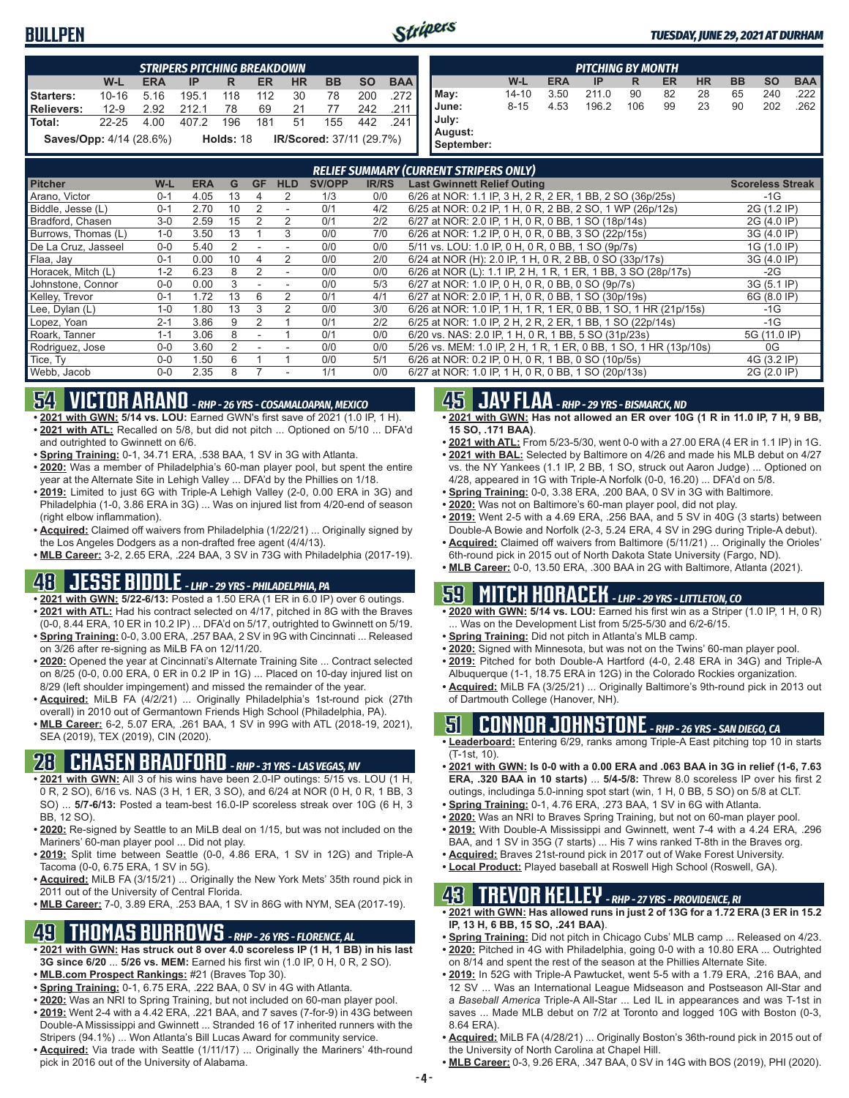#### **BULLPEN**



|                                                                         |           |            | <b>STRIPERS PITCHING BREAKDOWN</b> |                |                |                       |               |              |            |                                                                  |           |            | <b>PITCHING BY MONTH</b> |     |           |           |           |                         |            |
|-------------------------------------------------------------------------|-----------|------------|------------------------------------|----------------|----------------|-----------------------|---------------|--------------|------------|------------------------------------------------------------------|-----------|------------|--------------------------|-----|-----------|-----------|-----------|-------------------------|------------|
|                                                                         | $W-L$     | <b>ERA</b> | IP                                 | R.             | <b>ER</b>      | <b>HR</b>             | <b>BB</b>     | <b>SO</b>    | <b>BAA</b> |                                                                  | $W-L$     | <b>ERA</b> | IP                       | R   | <b>ER</b> | <b>HR</b> | <b>BB</b> | <b>SO</b>               | <b>BAA</b> |
| <b>Starters:</b>                                                        | $10 - 16$ | 5.16       | 195.1                              | 118            | 112            | 30                    | 78            | 200          | .272       | May:                                                             | $14 - 10$ | 3.50       | 211.0                    | 90  | 82        | 28        | 65        | 240                     | .222       |
| <b>Relievers:</b>                                                       | $12-9$    | 2.92       | 212.1                              | 78             | 69             | 21                    | 77            | 242          | .211       | June:                                                            | $8 - 15$  | 4.53       | 196.2                    | 106 | 99        | 23        | 90        | 202                     | .262       |
| Total:                                                                  | $22 - 25$ | 4.00       | 407.2                              | 196            | 181            | 51                    | 155           | 442          | .241       | July:                                                            |           |            |                          |     |           |           |           |                         |            |
| Holds: 18<br>IR/Scored: 37/11 (29.7%)<br><b>Saves/Opp:</b> 4/14 (28.6%) |           |            |                                    |                |                | August:<br>September: |               |              |            |                                                                  |           |            |                          |     |           |           |           |                         |            |
|                                                                         |           |            |                                    |                |                |                       |               |              |            | <b>RELIEF SUMMARY (CURRENT STRIPERS ONLY)</b>                    |           |            |                          |     |           |           |           |                         |            |
| <b>Pitcher</b>                                                          |           | $W-L$      | <b>ERA</b>                         | G              | <b>GF</b>      | <b>HLD</b>            | <b>SV/OPP</b> | <b>IR/RS</b> |            | <b>Last Gwinnett Relief Outing</b>                               |           |            |                          |     |           |           |           | <b>Scoreless Streak</b> |            |
| Arano, Victor                                                           |           | $0 - 1$    | 4.05                               | 13             |                | 2                     | 1/3           | 0/0          |            | 6/26 at NOR: 1.1 IP, 3 H, 2 R, 2 ER, 1 BB, 2 SO (36p/25s)        |           |            |                          |     |           |           |           | $-1G$                   |            |
| Biddle, Jesse (L)                                                       |           | $0 - 1$    | 2.70                               | 10             | $\overline{2}$ |                       | 0/1           | 4/2          |            | 6/25 at NOR: 0.2 IP, 1 H, 0 R, 2 BB, 2 SO, 1 WP (26p/12s)        |           |            |                          |     |           |           |           | 2G (1.2 IP)             |            |
| Bradford, Chasen                                                        |           | $3-0$      | 2.59                               | 15             | $\overline{2}$ | $\overline{2}$        | 0/1           | 2/2          |            | 6/27 at NOR: 2.0 IP, 1 H, 0 R, 0 BB, 1 SO (18p/14s)              |           |            |                          |     |           |           |           | 2G (4.0 IP)             |            |
| Burrows, Thomas (L)                                                     |           | $1 - 0$    | 3.50                               | 13             |                | 3                     | 0/0           | 7/0          |            | 6/26 at NOR: 1.2 IP, 0 H, 0 R, 0 BB, 3 SO (22p/15s)              |           |            |                          |     |           |           |           | 3G (4.0 IP)             |            |
| De La Cruz, Jasseel                                                     |           | $0 - 0$    | 5.40                               | $\overline{2}$ |                |                       | 0/0           | 0/0          |            | 5/11 vs. LOU: 1.0 IP, 0 H, 0 R, 0 BB, 1 SO (9p/7s)               |           |            |                          |     |           |           |           | 1G (1.0 IP)             |            |
| Flaa, Jay                                                               |           | $0 - 1$    | 0.00                               | 10             | 4              | $\overline{2}$        | 0/0           | 2/0          |            | 6/24 at NOR (H): 2.0 IP, 1 H, 0 R, 2 BB, 0 SO (33p/17s)          |           |            |                          |     |           |           |           | 3G (4.0 IP)             |            |
| Horacek, Mitch (L)                                                      |           | $1 - 2$    | 6.23                               | 8              | $\overline{2}$ |                       | 0/0           | 0/0          |            | 6/26 at NOR (L): 1.1 IP, 2 H, 1 R, 1 ER, 1 BB, 3 SO (28p/17s)    |           |            |                          |     |           |           |           | $-2G$                   |            |
| Johnstone, Connor                                                       |           | $0 - 0$    | 0.00                               | 3              |                | $\blacksquare$        | 0/0           | 5/3          |            | 6/27 at NOR: 1.0 IP, 0 H, 0 R, 0 BB, 0 SO (9p/7s)                |           |            |                          |     |           |           |           | 3G (5.1 IP)             |            |
| Kelley, Trevor                                                          |           | $0 - 1$    | 1.72                               | 13             | 6              | 2                     | 0/1           | 4/1          |            | 6/27 at NOR: 2.0 IP, 1 H, 0 R, 0 BB, 1 SO (30p/19s)              |           |            |                          |     |           |           |           | 6G (8.0 IP)             |            |
| Lee, Dylan (L)                                                          |           | $1 - 0$    | 1.80                               | 13             | 3              | $\overline{2}$        | 0/0           | 3/0          |            | 6/26 at NOR: 1.0 IP, 1 H, 1 R, 1 ER, 0 BB, 1 SO, 1 HR (21p/15s)  |           |            |                          |     |           |           |           | $-1G$                   |            |
| Lopez, Yoan                                                             |           | $2 - 1$    | 3.86                               | 9              | $\overline{2}$ |                       | 0/1           | 2/2          |            | 6/25 at NOR: 1.0 IP, 2 H, 2 R, 2 ER, 1 BB, 1 SO (22p/14s)        |           |            |                          |     |           |           |           | $-1G$                   |            |
| Roark, Tanner                                                           |           | $1 - 1$    | 3.06                               | 8              | $\sim$         |                       | 0/1           | 0/0          |            | 6/20 vs. NAS: 2.0 IP, 1 H, 0 R, 1 BB, 5 SO (31p/23s)             |           |            |                          |     |           |           |           | 5G (11.0 IP)            |            |
| Rodriguez, Jose                                                         |           | $0-0$      | 3.60                               | $\overline{2}$ |                |                       | 0/0           | 0/0          |            | 5/26 vs. MEM: 1.0 IP, 2 H, 1 R, 1 ER, 0 BB, 1 SO, 1 HR (13p/10s) |           |            |                          |     |           |           |           | 0G                      |            |
| Tice, Ty                                                                |           | $0 - 0$    | 1.50                               | 6              |                |                       | 0/0           | 5/1          |            | 6/26 at NOR: 0.2 IP, 0 H, 0 R, 1 BB, 0 SO (10p/5s)               |           |            |                          |     |           |           |           | 4G (3.2 IP)             |            |
| Webb, Jacob                                                             |           | $0 - 0$    | 2.35                               | 8              | 7              |                       | 1/1           | 0/0          |            | 6/27 at NOR: 1.0 IP, 1 H, 0 R, 0 BB, 1 SO (20p/13s)              |           |            |                          |     |           |           |           | 2G (2.0 IP)             |            |

## **54 VICTOR ARANO** *- RHP - 26 YRS - COSAMALOAPAN, MEXICO*

- **• 2021 with GWN: 5/14 vs. LOU:** Earned GWN's first save of 2021 (1.0 IP, 1 H).
- **• 2021 with ATL:** Recalled on 5/8, but did not pitch ... Optioned on 5/10 ... DFA'd and outrighted to Gwinnett on 6/6.
- **• Spring Training:** 0-1, 34.71 ERA, .538 BAA, 1 SV in 3G with Atlanta. **• 2020:** Was a member of Philadelphia's 60-man player pool, but spent the entire
- year at the Alternate Site in Lehigh Valley ... DFA'd by the Phillies on 1/18. **• 2019:** Limited to just 6G with Triple-A Lehigh Valley (2-0, 0.00 ERA in 3G) and Philadelphia (1-0, 3.86 ERA in 3G) ... Was on injured list from 4/20-end of season
- (right elbow inflammation). **• Acquired:** Claimed off waivers from Philadelphia (1/22/21) ... Originally signed by
- the Los Angeles Dodgers as a non-drafted free agent (4/4/13). **• MLB Career:** 3-2, 2.65 ERA, .224 BAA, 3 SV in 73G with Philadelphia (2017-19).

### **48 JESSE BIDDLE** *- LHP - 29 YRS - PHILADELPHIA, PA*

- **• 2021 with GWN: 5/22-6/13:** Posted a 1.50 ERA (1 ER in 6.0 IP) over 6 outings.
- **• 2021 with ATL:** Had his contract selected on 4/17, pitched in 8G with the Braves (0-0, 8.44 ERA, 10 ER in 10.2 IP) ... DFA'd on 5/17, outrighted to Gwinnett on 5/19. **• Spring Training:** 0-0, 3.00 ERA, .257 BAA, 2 SV in 9G with Cincinnati ... Released
- on 3/26 after re-signing as MiLB FA on 12/11/20. **• 2020:** Opened the year at Cincinnati's Alternate Training Site ... Contract selected on 8/25 (0-0, 0.00 ERA, 0 ER in 0.2 IP in 1G) ... Placed on 10-day injured list on
- 8/29 (left shoulder impingement) and missed the remainder of the year. **• Acquired:** MiLB FA (4/2/21) ... Originally Philadelphia's 1st-round pick (27th
- overall) in 2010 out of Germantown Friends High School (Philadelphia, PA). **• MLB Career:** 6-2, 5.07 ERA, .261 BAA, 1 SV in 99G with ATL (2018-19, 2021), SEA (2019), TEX (2019), CIN (2020).

#### **28 CHASEN BRADFORD** *- RHP - 31 YRS - LAS VEGAS, NV*

- **• 2021 with GWN:** All 3 of his wins have been 2.0-IP outings: 5/15 vs. LOU (1 H, 0 R, 2 SO), 6/16 vs. NAS (3 H, 1 ER, 3 SO), and 6/24 at NOR (0 H, 0 R, 1 BB, 3 SO) ... **5/7-6/13:** Posted a team-best 16.0-IP scoreless streak over 10G (6 H, 3 BB, 12 SO).
- **• 2020:** Re-signed by Seattle to an MiLB deal on 1/15, but was not included on the Mariners' 60-man player pool ... Did not play.
- **• 2019:** Split time between Seattle (0-0, 4.86 ERA, 1 SV in 12G) and Triple-A Tacoma (0-0, 6.75 ERA, 1 SV in 5G).
- **• Acquired:** MiLB FA (3/15/21) ... Originally the New York Mets' 35th round pick in 2011 out of the University of Central Florida.
- **• MLB Career:** 7-0, 3.89 ERA, .253 BAA, 1 SV in 86G with NYM, SEA (2017-19).

#### **49 THOMAS BURROWS** *- RHP - 26 YRS - FLORENCE, AL*

- **• 2021 with GWN: Has struck out 8 over 4.0 scoreless IP (1 H, 1 BB) in his last 3G since 6/20** ... **5/26 vs. MEM:** Earned his first win (1.0 IP, 0 H, 0 R, 2 SO).
- **• MLB.com Prospect Rankings:** #21 (Braves Top 30).
- **• Spring Training:** 0-1, 6.75 ERA, .222 BAA, 0 SV in 4G with Atlanta.
- **• 2020:** Was an NRI to Spring Training, but not included on 60-man player pool.
- **• 2019:** Went 2-4 with a 4.42 ERA, .221 BAA, and 7 saves (7-for-9) in 43G between Double-A Mississippi and Gwinnett ... Stranded 16 of 17 inherited runners with the Stripers (94.1%) ... Won Atlanta's Bill Lucas Award for community service.
- **• Acquired:** Via trade with Seattle (1/11/17) ... Originally the Mariners' 4th-round pick in 2016 out of the University of Alabama.

### **45 JAY FLAA** *- RHP - 29 YRS - BISMARCK, ND*

- **• 2021 with GWN: Has not allowed an ER over 10G (1 R in 11.0 IP, 7 H, 9 BB, 15 SO, .171 BAA)**.
- **• 2021 with ATL:** From 5/23-5/30, went 0-0 with a 27.00 ERA (4 ER in 1.1 IP) in 1G. **• 2021 with BAL:** Selected by Baltimore on 4/26 and made his MLB debut on 4/27 vs. the NY Yankees (1.1 IP, 2 BB, 1 SO, struck out Aaron Judge) ... Optioned on 4/28, appeared in 1G with Triple-A Norfolk (0-0, 16.20) ... DFA'd on 5/8.
- **• Spring Training:** 0-0, 3.38 ERA, .200 BAA, 0 SV in 3G with Baltimore.
- **• 2020:** Was not on Baltimore's 60-man player pool, did not play.
- **• 2019:** Went 2-5 with a 4.69 ERA, .256 BAA, and 5 SV in 40G (3 starts) between Double-A Bowie and Norfolk (2-3, 5.24 ERA, 4 SV in 29G during Triple-A debut).
- **• Acquired:** Claimed off waivers from Baltimore (5/11/21) ... Originally the Orioles' 6th-round pick in 2015 out of North Dakota State University (Fargo, ND).
- **• MLB Career:** 0-0, 13.50 ERA, .300 BAA in 2G with Baltimore, Atlanta (2021).

## **59 MITCH HORACEK** *- LHP - 29 YRS - LITTLETON, CO*

- **• 2020 with GWN: 5/14 vs. LOU:** Earned his first win as a Striper (1.0 IP, 1 H, 0 R) ... Was on the Development List from 5/25-5/30 and 6/2-6/15.
- **• Spring Training:** Did not pitch in Atlanta's MLB camp.
- **• 2020:** Signed with Minnesota, but was not on the Twins' 60-man player pool.
- **• 2019:** Pitched for both Double-A Hartford (4-0, 2.48 ERA in 34G) and Triple-A Albuquerque (1-1, 18.75 ERA in 12G) in the Colorado Rockies organization.
- **• Acquired:** MiLB FA (3/25/21) ... Originally Baltimore's 9th-round pick in 2013 out of Dartmouth College (Hanover, NH).

#### **51 CONNOR JOHNSTONE** *- RHP - 26 YRS - SAN DIEGO, CA*

- **• Leaderboard:** Entering 6/29, ranks among Triple-A East pitching top 10 in starts (T-1st, 10).
- **• 2021 with GWN: Is 0-0 with a 0.00 ERA and .063 BAA in 3G in relief (1-6, 7.63 ERA, .320 BAA in 10 starts)** ... **5/4-5/8:** Threw 8.0 scoreless IP over his first 2 outings, includinga 5.0-inning spot start (win, 1 H, 0 BB, 5 SO) on 5/8 at CLT.
- **• Spring Training:** 0-1, 4.76 ERA, .273 BAA, 1 SV in 6G with Atlanta.
- **• 2020:** Was an NRI to Braves Spring Training, but not on 60-man player pool. **• 2019:** With Double-A Mississippi and Gwinnett, went 7-4 with a 4.24 ERA, .296 BAA, and 1 SV in 35G (7 starts) ... His 7 wins ranked T-8th in the Braves org.
- **• Acquired:** Braves 21st-round pick in 2017 out of Wake Forest University.
- **• Local Product:** Played baseball at Roswell High School (Roswell, GA).

### **43 TREVOR KELLEY** *- RHP - 27 YRS - PROVIDENCE, RI*

- **• 2021 with GWN: Has allowed runs in just 2 of 13G for a 1.72 ERA (3 ER in 15.2 IP, 13 H, 6 BB, 15 SO, .241 BAA)**.
- **• Spring Training:** Did not pitch in Chicago Cubs' MLB camp ... Released on 4/23.
- **• 2020:** Pitched in 4G with Philadelphia, going 0-0 with a 10.80 ERA ... Outrighted on 8/14 and spent the rest of the season at the Phillies Alternate Site.
- **• 2019:** In 52G with Triple-A Pawtucket, went 5-5 with a 1.79 ERA, .216 BAA, and 12 SV ... Was an International League Midseason and Postseason All-Star and a *Baseball America* Triple-A All-Star ... Led IL in appearances and was T-1st in saves ... Made MLB debut on 7/2 at Toronto and logged 10G with Boston (0-3, 8.64 ERA).
- **• Acquired:** MiLB FA (4/28/21) ... Originally Boston's 36th-round pick in 2015 out of the University of North Carolina at Chapel Hill.
- **• MLB Career:** 0-3, 9.26 ERA, .347 BAA, 0 SV in 14G with BOS (2019), PHI (2020).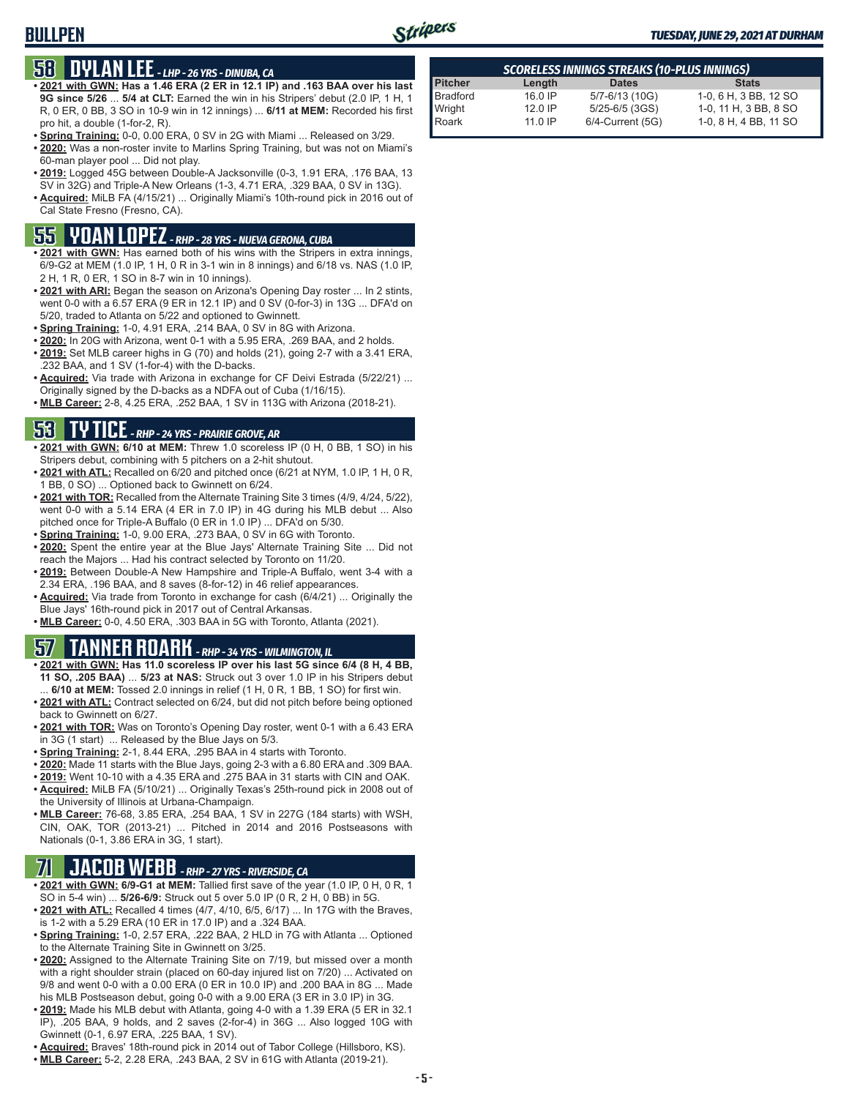#### **BULLPEN**



#### *TUESDAY, JUNE 29, 2021 AT DURHAM*

### **58 DYLAN LEE** *- LHP - 26 YRS - DINUBA, CA*

- **• 2021 with GWN: Has a 1.46 ERA (2 ER in 12.1 IP) and .163 BAA over his last 9G since 5/26** ... **5/4 at CLT:** Earned the win in his Stripers' debut (2.0 IP, 1 H, 1 R, 0 ER, 0 BB, 3 SO in 10-9 win in 12 innings) ... **6/11 at MEM:** Recorded his first pro hit, a double (1-for-2, R).
- **• Spring Training:** 0-0, 0.00 ERA, 0 SV in 2G with Miami ... Released on 3/29.
- **• 2020:** Was a non-roster invite to Marlins Spring Training, but was not on Miami's 60-man player pool ... Did not play.
- **• 2019:** Logged 45G between Double-A Jacksonville (0-3, 1.91 ERA, .176 BAA, 13 SV in 32G) and Triple-A New Orleans (1-3, 4.71 ERA, .329 BAA, 0 SV in 13G).
- **• Acquired:** MiLB FA (4/15/21) ... Originally Miami's 10th-round pick in 2016 out of Cal State Fresno (Fresno, CA).

### **55 YOAN LOPEZ** *- RHP - 28 YRS - NUEVA GERONA, CUBA*

- **• 2021 with GWN:** Has earned both of his wins with the Stripers in extra innings, 6/9-G2 at MEM (1.0 IP, 1 H, 0 R in 3-1 win in 8 innings) and 6/18 vs. NAS (1.0 IP, 2 H, 1 R, 0 ER, 1 SO in 8-7 win in 10 innings).
- **• 2021 with ARI:** Began the season on Arizona's Opening Day roster ... In 2 stints, went 0-0 with a 6.57 ERA (9 ER in 12.1 IP) and 0 SV (0-for-3) in 13G ... DFA'd on 5/20, traded to Atlanta on 5/22 and optioned to Gwinnett.
- **• Spring Training:** 1-0, 4.91 ERA, .214 BAA, 0 SV in 8G with Arizona.
- **• 2020:** In 20G with Arizona, went 0-1 with a 5.95 ERA, .269 BAA, and 2 holds.
- **• 2019:** Set MLB career highs in G (70) and holds (21), going 2-7 with a 3.41 ERA, .232 BAA, and 1 SV (1-for-4) with the D-backs.
- **• Acquired:** Via trade with Arizona in exchange for CF Deivi Estrada (5/22/21) ... Originally signed by the D-backs as a NDFA out of Cuba (1/16/15).
- **• MLB Career:** 2-8, 4.25 ERA, .252 BAA, 1 SV in 113G with Arizona (2018-21).

### **53 TY TICE** *- RHP - 24 YRS - PRAIRIE GROVE, AR*

- **• 2021 with GWN: 6/10 at MEM:** Threw 1.0 scoreless IP (0 H, 0 BB, 1 SO) in his Stripers debut, combining with 5 pitchers on a 2-hit shutout.
- **• 2021 with ATL:** Recalled on 6/20 and pitched once (6/21 at NYM, 1.0 IP, 1 H, 0 R, 1 BB, 0 SO) ... Optioned back to Gwinnett on 6/24.
- **• 2021 with TOR:** Recalled from the Alternate Training Site 3 times (4/9, 4/24, 5/22), went 0-0 with a 5.14 ERA (4 ER in 7.0 IP) in 4G during his MLB debut ... Also pitched once for Triple-A Buffalo (0 ER in 1.0 IP) ... DFA'd on 5/30.
- **• Spring Training:** 1-0, 9.00 ERA, .273 BAA, 0 SV in 6G with Toronto.
- **• 2020:** Spent the entire year at the Blue Jays' Alternate Training Site ... Did not reach the Majors ... Had his contract selected by Toronto on 11/20.
- **• 2019:** Between Double-A New Hampshire and Triple-A Buffalo, went 3-4 with a 2.34 ERA, .196 BAA, and 8 saves (8-for-12) in 46 relief appearances.
- **• Acquired:** Via trade from Toronto in exchange for cash (6/4/21) ... Originally the Blue Jays' 16th-round pick in 2017 out of Central Arkansas.
- **• MLB Career:** 0-0, 4.50 ERA, .303 BAA in 5G with Toronto, Atlanta (2021).

#### **57 TANNER ROARK** *- RHP - 34 YRS - WILMINGTON, IL*

- **• 2021 with GWN: Has 11.0 scoreless IP over his last 5G since 6/4 (8 H, 4 BB, 11 SO, .205 BAA)** ... **5/23 at NAS:** Struck out 3 over 1.0 IP in his Stripers debut ... **6/10 at MEM:** Tossed 2.0 innings in relief (1 H, 0 R, 1 BB, 1 SO) for first win.
- **• 2021 with ATL:** Contract selected on 6/24, but did not pitch before being optioned back to Gwinnett on 6/27.
- **• 2021 with TOR:** Was on Toronto's Opening Day roster, went 0-1 with a 6.43 ERA in 3G (1 start) ... Released by the Blue Jays on 5/3.
- **• Spring Training:** 2-1, 8.44 ERA, .295 BAA in 4 starts with Toronto.
- **• 2020:** Made 11 starts with the Blue Jays, going 2-3 with a 6.80 ERA and .309 BAA.
- **• 2019:** Went 10-10 with a 4.35 ERA and .275 BAA in 31 starts with CIN and OAK. **• Acquired:** MiLB FA (5/10/21) ... Originally Texas's 25th-round pick in 2008 out of
- the University of Illinois at Urbana-Champaign.
- **• MLB Career:** 76-68, 3.85 ERA, .254 BAA, 1 SV in 227G (184 starts) with WSH, CIN, OAK, TOR (2013-21) ... Pitched in 2014 and 2016 Postseasons with Nationals (0-1, 3.86 ERA in 3G, 1 start).

### **71 JACOB WEBB** *- RHP - 27 YRS - RIVERSIDE, CA*

- **• 2021 with GWN: 6/9-G1 at MEM:** Tallied first save of the year (1.0 IP, 0 H, 0 R, 1 SO in 5-4 win) ... **5/26-6/9:** Struck out 5 over 5.0 IP (0 R, 2 H, 0 BB) in 5G.
- **• 2021 with ATL:** Recalled 4 times (4/7, 4/10, 6/5, 6/17) ... In 17G with the Braves, is 1-2 with a 5.29 ERA (10 ER in 17.0 IP) and a .324 BAA.
- **• Spring Training:** 1-0, 2.57 ERA, .222 BAA, 2 HLD in 7G with Atlanta ... Optioned to the Alternate Training Site in Gwinnett on 3/25.
- **• 2020:** Assigned to the Alternate Training Site on 7/19, but missed over a month with a right shoulder strain (placed on 60-day injured list on 7/20) ... Activated on 9/8 and went 0-0 with a 0.00 ERA (0 ER in 10.0 IP) and .200 BAA in 8G ... Made his MLB Postseason debut, going 0-0 with a 9.00 ERA (3 ER in 3.0 IP) in 3G.
- **• 2019:** Made his MLB debut with Atlanta, going 4-0 with a 1.39 ERA (5 ER in 32.1 IP), .205 BAA, 9 holds, and 2 saves (2-for-4) in 36G ... Also logged 10G with Gwinnett (0-1, 6.97 ERA, .225 BAA, 1 SV).
- **• Acquired:** Braves' 18th-round pick in 2014 out of Tabor College (Hillsboro, KS).
- **• MLB Career:** 5-2, 2.28 ERA, .243 BAA, 2 SV in 61G with Atlanta (2019-21).

| SCORELESS INNINGS STREAKS (10-PLUS INNINGS) |           |                       |                       |  |  |  |  |  |  |  |
|---------------------------------------------|-----------|-----------------------|-----------------------|--|--|--|--|--|--|--|
|                                             | Length    | <b>Dates</b>          | <b>Stats</b>          |  |  |  |  |  |  |  |
|                                             | $16.0$ IP | 5/7-6/13 (10G)        | 1-0, 6 H, 3 BB, 12 SO |  |  |  |  |  |  |  |
|                                             | $12.0$ IP | $5/25 - 6/5$ (3GS)    | 1-0, 11 H, 3 BB, 8 SO |  |  |  |  |  |  |  |
| Pitcher<br>Bradford<br>Wright<br>Roark      | $11.0$ IP | $6/4$ -Current $(5G)$ | 1-0, 8 H, 4 BB, 11 SO |  |  |  |  |  |  |  |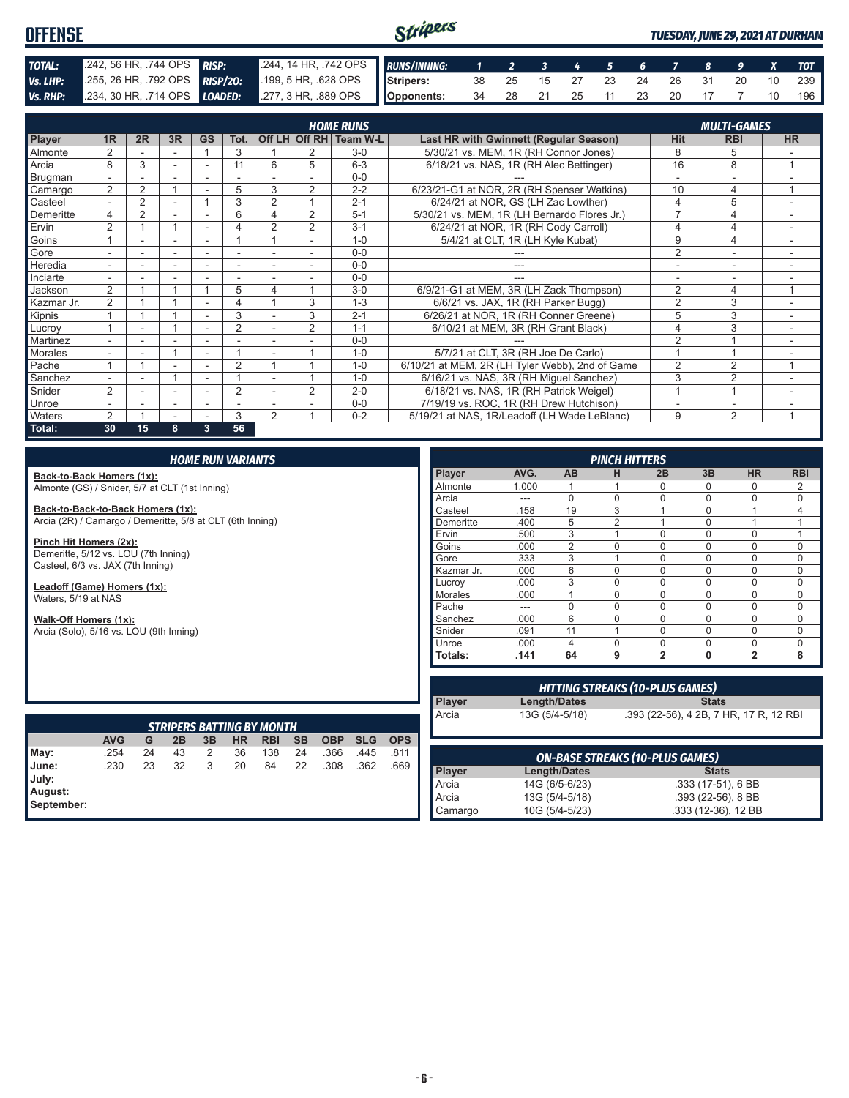#### Stripers **OFFENSE** *TUESDAY, JUNE 29, 2021 AT DURHAM TOTAL:* .242, 56 HR, .744 OPS *RISP:* .244, 14 HR, .742 OPS *RUNS/INNING: 1 2 3 4 5 6 7 8 9 X TOT Vs. LHP:* .255, 26 HR, .792 OPS *RISP/2O:* .199, 5 HR, .628 OPS **Stripers:** 38 25 15 27 23 24 26 31 20 10 239 *Vs. RHP:* .234, 30 HR, .714 OPS *LOADED:* .277, 3 HR, .889 OPS **Opponents:** 34 28 21 25 11 23 20 17 7 10 196

|                |                          |                |                          |                          |                          |                |                | <b>HOME RUNS</b>       |                                                 |                | <b>MULTI-GAMES</b> |                |
|----------------|--------------------------|----------------|--------------------------|--------------------------|--------------------------|----------------|----------------|------------------------|-------------------------------------------------|----------------|--------------------|----------------|
| <b>Player</b>  | 1R                       | 2R             | 3R                       | <b>GS</b>                | Tot.                     |                |                | Off LH Off RH Team W-L | Last HR with Gwinnett (Regular Season)          | <b>Hit</b>     | <b>RBI</b>         | <b>HR</b>      |
| Almonte        | $\overline{2}$           |                |                          |                          | 3                        |                |                | $3-0$                  | 5/30/21 vs. MEM, 1R (RH Connor Jones)           | 8              | 5                  |                |
| Arcia          | 8                        | 3              |                          |                          | 11                       | 6              | 5              | $6 - 3$                | 6/18/21 vs. NAS, 1R (RH Alec Bettinger)         | 16             | 8                  | $\overline{A}$ |
| <b>Brugman</b> | $\overline{\phantom{0}}$ |                |                          |                          |                          |                |                | $0 - 0$                |                                                 |                |                    |                |
| Camargo        | 2                        | $\overline{2}$ |                          |                          | 5                        | 3              | $\overline{2}$ | $2 - 2$                | 6/23/21-G1 at NOR, 2R (RH Spenser Watkins)      | 10             | 4                  | 4              |
| Casteel        |                          | 2              |                          |                          | 3                        | 2              |                | $2 - 1$                | 6/24/21 at NOR. GS (LH Zac Lowther)             | 4              | 5                  |                |
| Demeritte      | 4                        | $\overline{2}$ |                          |                          | 6                        | 4              | $\overline{2}$ | $5 - 1$                | 5/30/21 vs. MEM, 1R (LH Bernardo Flores Jr.)    |                | 4                  |                |
| Ervin          | $\overline{2}$           |                |                          |                          | 4                        | $\overline{2}$ | $\overline{2}$ | $3 - 1$                | 6/24/21 at NOR, 1R (RH Cody Carroll)            | 4              | 4                  | ٠              |
| Goins          |                          | ۰              | $\overline{\phantom{a}}$ | $\overline{\phantom{a}}$ |                          |                | ٠              | $1 - 0$                | 5/4/21 at CLT, 1R (LH Kyle Kubat)               | 9              | 4                  | ۰              |
| Gore           |                          |                |                          |                          |                          |                |                | $0 - 0$                |                                                 | 2              |                    |                |
| Heredia        |                          |                |                          |                          |                          |                |                | $0 - 0$                |                                                 |                |                    |                |
| Inciarte       |                          |                |                          |                          |                          |                |                | $0 - 0$                |                                                 |                |                    |                |
| Jackson        | $\mathfrak{D}$           |                |                          |                          | 5                        | 4              |                | $3-0$                  | 6/9/21-G1 at MEM, 3R (LH Zack Thompson)         | $\overline{2}$ | 4                  | 4              |
| Kazmar Jr.     | 2                        |                |                          |                          | 4                        |                | 3              | $1 - 3$                | 6/6/21 vs. JAX, 1R (RH Parker Bugg)             | $\overline{2}$ | 3                  |                |
| Kipnis         |                          |                |                          |                          | 3                        |                | 3              | $2 - 1$                | 6/26/21 at NOR, 1R (RH Conner Greene)           | 5              | 3                  |                |
| Lucroy         |                          |                |                          |                          | $\overline{2}$           |                | $\overline{2}$ | $1 - 1$                | 6/10/21 at MEM, 3R (RH Grant Black)             | 4              | 3                  | $\sim$         |
| Martinez       | ۰.                       | ۰              |                          | $\overline{\phantom{a}}$ |                          |                |                | $0 - 0$                |                                                 | $\mathfrak{p}$ |                    |                |
| <b>Morales</b> |                          | ۰              |                          | $\overline{\phantom{a}}$ |                          |                |                | $1 - 0$                | 5/7/21 at CLT, 3R (RH Joe De Carlo)             |                |                    |                |
| Pache          |                          |                |                          |                          | $\overline{2}$           |                |                | $1 - 0$                | 6/10/21 at MEM, 2R (LH Tyler Webb), 2nd of Game | 2              | $\overline{2}$     |                |
| Sanchez        |                          |                |                          |                          |                          |                |                | $1 - 0$                | 6/16/21 vs. NAS, 3R (RH Miguel Sanchez)         | 3              | $\overline{2}$     |                |
| Snider         | 2                        |                |                          |                          | $\overline{2}$           |                | $\overline{2}$ | $2 - 0$                | 6/18/21 vs. NAS, 1R (RH Patrick Weigel)         |                |                    |                |
| Unroe          |                          | ۰              | $\overline{\phantom{a}}$ | $\overline{\phantom{a}}$ | $\overline{\phantom{0}}$ |                |                | $0 - 0$                | 7/19/19 vs. ROC, 1R (RH Drew Hutchison)         |                | ۰                  |                |
| Waters         | $\overline{2}$           |                |                          |                          | 3                        | $\overline{2}$ |                | $0 - 2$                | 5/19/21 at NAS, 1R/Leadoff (LH Wade LeBlanc)    | 9              | $\overline{2}$     | 4              |
| Total:         | 30                       | 15             | 8                        | 3                        | 56                       |                |                |                        |                                                 |                |                    |                |

#### *HOME RUN VARIANTS*

**Back-to-Back Homers (1x):** Almonte (GS) / Snider, 5/7 at CLT (1st Inning)

**Back-to-Back-to-Back Homers (1x):** Arcia (2R) / Camargo / Demeritte, 5/8 at CLT (6th Inning)

**Pinch Hit Homers (2x):** Demeritte, 5/12 vs. LOU (7th Inning) Casteel, 6/3 vs. JAX (7th Inning)

**Leadoff (Game) Homers (1x):** Waters, 5/19 at NAS

**Walk-Off Homers (1x):** Arcia (Solo), 5/16 vs. LOU (9th Inning)

*PINCH HITTERS* **Player AVG. AB H 2B 3B HR RBI** Almonte 1.000 1 1 0 0 0 2 Arcia --- 0 0 0 0 0 0 Casteel .158 19 3 1 0 1 4 Demeritte .400 5 2 1 0 1 1 Ervin .500 3 1 0 0 0 1 Goins .000 2 0 0 0 0 0 Gore 333 3 1 0 0 0 0 Kazmar Jr. 000 6 0 0 0 0 0 0<br>Lucrov 000 3 0 0 0 0 0 Lucroy .000 3 0 0 0 0 0 Morales .000 1 0 0 0 0 0 Pache --- 0 0 0 0 0 0 0 Sanchez .000 6 0 0 0 0 0 0 Snider .091 11 1 0 0 0 0 Unroe .000 4 0 0 0 0 0 **Totals: .141 64 9 2 0 2 8**

| <b>STRIPERS BATTING BY MONTH</b>        |            |    |    |    |    |            |           |            |            |            |  |  |
|-----------------------------------------|------------|----|----|----|----|------------|-----------|------------|------------|------------|--|--|
|                                         | <b>AVG</b> | G  | 2B | 3B | HR | <b>RBI</b> | <b>SB</b> | <b>OBP</b> | <b>SLG</b> | <b>OPS</b> |  |  |
| May:                                    | .254       | 24 | 43 | 2  | 36 | 138        | 24        | .366       | .445       | .811       |  |  |
| June:<br>July:<br>August:<br>September: | .230       | 23 | 32 | 3  | 20 | 84         | 22        | .308       | .362       | .669       |  |  |

|               |                     | <b>HITTING STREAKS (10-PLUS GAMES)</b> |
|---------------|---------------------|----------------------------------------|
| <b>Player</b> | <b>Length/Dates</b> | <b>Stats</b>                           |
| Arcia         | 13G (5/4-5/18)      | .393 (22-56), 4 2B, 7 HR, 17 R, 12 RBI |
|               |                     |                                        |
|               |                     |                                        |
|               |                     |                                        |
|               |                     | <b>ON-BASE STREAKS (10-PLUS GAMES)</b> |
| <b>Player</b> | <b>Length/Dates</b> | <b>Stats</b>                           |

.333 (12-36), 12 BB

Arcia 13G (5/4-5/18) .393 (22-56), 8 BB<br>Camargo 10G (5/4-5/23) .333 (12-36), 12 BB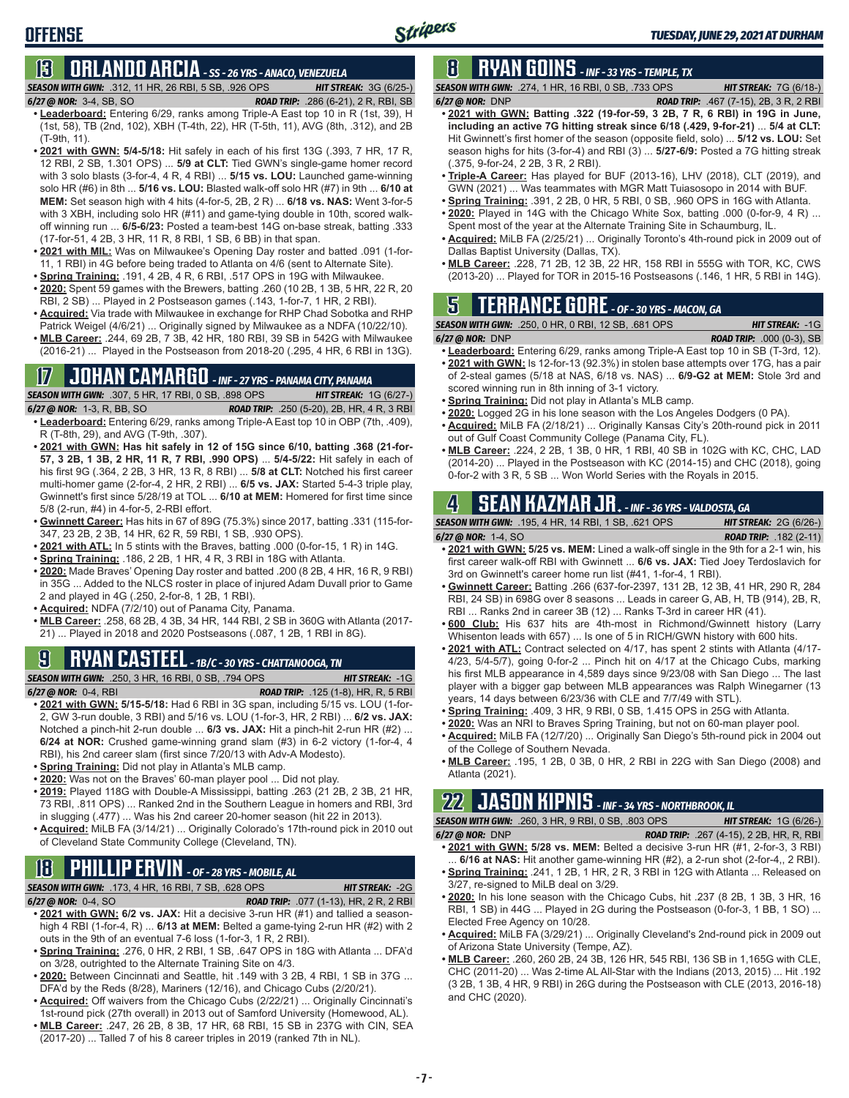### **13 ORLANDO ARCIA** *- SS - 26 YRS - ANACO, VENEZUELA*

*SEASON WITH GWN:*.312, 11 HR, 26 RBI, 5 SB, .926 OPS *HIT STREAK:* 3G (6/25-)

- *6/27 @ NOR:*3-4, SB, SO *ROAD TRIP:* .286 (6-21), 2 R, RBI, SB **• Leaderboard:** Entering 6/29, ranks among Triple-A East top 10 in R (1st, 39), H (1st, 58), TB (2nd, 102), XBH (T-4th, 22), HR (T-5th, 11), AVG (8th, .312), and 2B (T-9th, 11).
- **• 2021 with GWN: 5/4-5/18:** Hit safely in each of his first 13G (.393, 7 HR, 17 R, 12 RBI, 2 SB, 1.301 OPS) ... **5/9 at CLT:** Tied GWN's single-game homer record with 3 solo blasts (3-for-4, 4 R, 4 RBI) ... **5/15 vs. LOU:** Launched game-winning solo HR (#6) in 8th ... **5/16 vs. LOU:** Blasted walk-off solo HR (#7) in 9th ... **6/10 at MEM:** Set season high with 4 hits (4-for-5, 2B, 2 R) ... **6/18 vs. NAS:** Went 3-for-5 with 3 XBH, including solo HR (#11) and game-tying double in 10th, scored walkoff winning run ... **6/5-6/23:** Posted a team-best 14G on-base streak, batting .333 (17-for-51, 4 2B, 3 HR, 11 R, 8 RBI, 1 SB, 6 BB) in that span.
- **• 2021 with MIL:** Was on Milwaukee's Opening Day roster and batted .091 (1-for-11, 1 RBI) in 4G before being traded to Atlanta on 4/6 (sent to Alternate Site).
- **• Spring Training:** .191, 4 2B, 4 R, 6 RBI, .517 OPS in 19G with Milwaukee.
- **• 2020:** Spent 59 games with the Brewers, batting .260 (10 2B, 1 3B, 5 HR, 22 R, 20 RBI, 2 SB) ... Played in 2 Postseason games (.143, 1-for-7, 1 HR, 2 RBI).
- **• Acquired:** Via trade with Milwaukee in exchange for RHP Chad Sobotka and RHP Patrick Weigel (4/6/21) ... Originally signed by Milwaukee as a NDFA (10/22/10).
- **• MLB Career:** .244, 69 2B, 7 3B, 42 HR, 180 RBI, 39 SB in 542G with Milwaukee (2016-21) ... Played in the Postseason from 2018-20 (.295, 4 HR, 6 RBI in 13G).

#### **17 JOHAN CAMARGO** *- INF - 27 YRS - PANAMA CITY, PANAMA*

*SEASON WITH GWN:*.307, 5 HR, 17 RBI, 0 SB, .898 OPS *HIT STREAK:* 1G (6/27-) *6/27 @ NOR:* 1-3, R, BB, SO *ROAD TRIP:* .250 (5-20), 2B, HR, 4 R, 3 RBI **• Leaderboard:** Entering 6/29, ranks among Triple-A East top 10 in OBP (7th, .409),

- R (T-8th, 29), and AVG (T-9th, .307). **• 2021 with GWN: Has hit safely in 12 of 15G since 6/10, batting .368 (21-for-57, 3 2B, 1 3B, 2 HR, 11 R, 7 RBI, .990 OPS)** ... **5/4-5/22:** Hit safely in each of
- his first 9G (.364, 2 2B, 3 HR, 13 R, 8 RBI) ... **5/8 at CLT:** Notched his first career multi-homer game (2-for-4, 2 HR, 2 RBI) ... **6/5 vs. JAX:** Started 5-4-3 triple play, Gwinnett's first since 5/28/19 at TOL ... **6/10 at MEM:** Homered for first time since 5/8 (2-run, #4) in 4-for-5, 2-RBI effort.
- **• Gwinnett Career:** Has hits in 67 of 89G (75.3%) since 2017, batting .331 (115-for-347, 23 2B, 2 3B, 14 HR, 62 R, 59 RBI, 1 SB, .930 OPS).
- **• 2021 with ATL:** In 5 stints with the Braves, batting .000 (0-for-15, 1 R) in 14G.
- **• Spring Training:** .186, 2 2B, 1 HR, 4 R, 3 RBI in 18G with Atlanta.
- **• 2020:** Made Braves' Opening Day roster and batted .200 (8 2B, 4 HR, 16 R, 9 RBI) in 35G ... Added to the NLCS roster in place of injured Adam Duvall prior to Game 2 and played in 4G (.250, 2-for-8, 1 2B, 1 RBI).
- **• Acquired:** NDFA (7/2/10) out of Panama City, Panama.
- **• MLB Career:** .258, 68 2B, 4 3B, 34 HR, 144 RBI, 2 SB in 360G with Atlanta (2017- 21) ... Played in 2018 and 2020 Postseasons (.087, 1 2B, 1 RBI in 8G).

#### **9 RYAN CASTEEL** *- 1B/C - 30 YRS - CHATTANOOGA, TN*

- *SEASON WITH GWN:*.250, 3 HR, 16 RBI, 0 SB, .794 OPS *HIT STREAK:* -1G *6/27 @ NOR:*0-4, RBI *ROAD TRIP:* .125 (1-8), HR, R, 5 RBI
- **• 2021 with GWN: 5/15-5/18:** Had 6 RBI in 3G span, including 5/15 vs. LOU (1-for-2, GW 3-run double, 3 RBI) and 5/16 vs. LOU (1-for-3, HR, 2 RBI) ... **6/2 vs. JAX:** Notched a pinch-hit 2-run double ... **6/3 vs. JAX:** Hit a pinch-hit 2-run HR (#2) ... **6/24 at NOR:** Crushed game-winning grand slam (#3) in 6-2 victory (1-for-4, 4 RBI), his 2nd career slam (first since 7/20/13 with Adv-A Modesto).
- **• Spring Training:** Did not play in Atlanta's MLB camp.
- **• 2020:** Was not on the Braves' 60-man player pool ... Did not play.
- **• 2019:** Played 118G with Double-A Mississippi, batting .263 (21 2B, 2 3B, 21 HR, 73 RBI, .811 OPS) ... Ranked 2nd in the Southern League in homers and RBI, 3rd in slugging (.477) ... Was his 2nd career 20-homer season (hit 22 in 2013).
- **• Acquired:** MiLB FA (3/14/21) ... Originally Colorado's 17th-round pick in 2010 out of Cleveland State Community College (Cleveland, TN).

#### **18 PHILLIP ERVIN** *- OF - 28 YRS - MOBILE, AL*

*SEASON WITH GWN:*.173, 4 HR, 16 RBI, 7 SB, .628 OPS *HIT STREAK:* -2G

*6/27 @ NOR:*0-4, SO *ROAD TRIP:* .077 (1-13), HR, 2 R, 2 RBI **• 2021 with GWN: 6/2 vs. JAX:** Hit a decisive 3-run HR (#1) and tallied a seasonhigh 4 RBI (1-for-4, R) ... **6/13 at MEM:** Belted a game-tying 2-run HR (#2) with 2 outs in the 9th of an eventual 7-6 loss (1-for-3, 1 R, 2 RBI).

- **• Spring Training:** .276, 0 HR, 2 RBI, 1 SB, .647 OPS in 18G with Atlanta ... DFA'd on 3/28, outrighted to the Alternate Training Site on 4/3.
- **• 2020:** Between Cincinnati and Seattle, hit .149 with 3 2B, 4 RBI, 1 SB in 37G ... DFA'd by the Reds (8/28), Mariners (12/16), and Chicago Cubs (2/20/21).
- **• Acquired:** Off waivers from the Chicago Cubs (2/22/21) ... Originally Cincinnati's
- 1st-round pick (27th overall) in 2013 out of Samford University (Homewood, AL). **• MLB Career:** .247, 26 2B, 8 3B, 17 HR, 68 RBI, 15 SB in 237G with CIN, SEA
- (2017-20) ... Talled 7 of his 8 career triples in 2019 (ranked 7th in NL).

### **8 RYAN GOINS** *- INF - 33 YRS - TEMPLE, TX*

*SEASON WITH GWN:*.274, 1 HR, 16 RBI, 0 SB, .733 OPS *HIT STREAK:* 7G (6/18-)

- *6/27 @ NOR:*DNP *ROAD TRIP:* .467 (7-15), 2B, 3 R, 2 RBI
- **• 2021 with GWN: Batting .322 (19-for-59, 3 2B, 7 R, 6 RBI) in 19G in June, including an active 7G hitting streak since 6/18 (.429, 9-for-21)** ... **5/4 at CLT:** Hit Gwinnett's first homer of the season (opposite field, solo) ... **5/12 vs. LOU:** Set season highs for hits (3-for-4) and RBI (3) ... **5/27-6/9:** Posted a 7G hitting streak (.375, 9-for-24, 2 2B, 3 R, 2 RBI).
- **• Triple-A Career:** Has played for BUF (2013-16), LHV (2018), CLT (2019), and GWN (2021) ... Was teammates with MGR Matt Tuiasosopo in 2014 with BUF.
- **• Spring Training:** .391, 2 2B, 0 HR, 5 RBI, 0 SB, .960 OPS in 16G with Atlanta.
- **• 2020:** Played in 14G with the Chicago White Sox, batting .000 (0-for-9, 4 R) ... Spent most of the year at the Alternate Training Site in Schaumburg, IL.
- **• Acquired:** MiLB FA (2/25/21) ... Originally Toronto's 4th-round pick in 2009 out of Dallas Baptist University (Dallas, TX).
- **• MLB Career:** .228, 71 2B, 12 3B, 22 HR, 158 RBI in 555G with TOR, KC, CWS (2013-20) ... Played for TOR in 2015-16 Postseasons (.146, 1 HR, 5 RBI in 14G).

#### **5 TERRANCE GORE** *- OF - 30 YRS - MACON, GA*

*SEASON WITH GWN:*.250, 0 HR, 0 RBI, 12 SB, .681 OPS *HIT STREAK:* -1G

- *6/27 @ NOR:*DNP *ROAD TRIP:* .000 (0-3), SB **• Leaderboard:** Entering 6/29, ranks among Triple-A East top 10 in SB (T-3rd, 12). **• 2021 with GWN:** Is 12-for-13 (92.3%) in stolen base attempts over 17G, has a pair of 2-steal games (5/18 at NAS, 6/18 vs. NAS) ... **6/9-G2 at MEM:** Stole 3rd and scored winning run in 8th inning of 3-1 victory.
- **• Spring Training:** Did not play in Atlanta's MLB camp.
- **• 2020:** Logged 2G in his lone season with the Los Angeles Dodgers (0 PA).
- **• Acquired:** MiLB FA (2/18/21) ... Originally Kansas City's 20th-round pick in 2011 out of Gulf Coast Community College (Panama City, FL).
- **• MLB Career:** .224, 2 2B, 1 3B, 0 HR, 1 RBI, 40 SB in 102G with KC, CHC, LAD (2014-20) ... Played in the Postseason with KC (2014-15) and CHC (2018), going 0-for-2 with 3 R, 5 SB ... Won World Series with the Royals in 2015.

### **4 SEAN KAZMAR JR.** *- INF - 36 YRS - VALDOSTA, GA*

*SEASON WITH GWN:*.195, 4 HR, 14 RBI, 1 SB, .621 OPS *HIT STREAK:* 2G (6/26-) *6/27 @ NOR:*1-4, SO *ROAD TRIP:* .182 (2-11)

- 
- **• 2021 with GWN: 5/25 vs. MEM:** Lined a walk-off single in the 9th for a 2-1 win, his first career walk-off RBI with Gwinnett ... **6/6 vs. JAX:** Tied Joey Terdoslavich for 3rd on Gwinnett's career home run list (#41, 1-for-4, 1 RBI).
- **• Gwinnett Career:** Batting .266 (637-for-2397, 131 2B, 12 3B, 41 HR, 290 R, 284 RBI, 24 SB) in 698G over 8 seasons ... Leads in career G, AB, H, TB (914), 2B, R, RBI ... Ranks 2nd in career 3B (12) ... Ranks T-3rd in career HR (41).
- **• 600 Club:** His 637 hits are 4th-most in Richmond/Gwinnett history (Larry Whisenton leads with 657) ... Is one of 5 in RICH/GWN history with 600 hits.
- **• 2021 with ATL:** Contract selected on 4/17, has spent 2 stints with Atlanta (4/17- 4/23, 5/4-5/7), going 0-for-2 ... Pinch hit on 4/17 at the Chicago Cubs, marking his first MLB appearance in 4,589 days since 9/23/08 with San Diego ... The last player with a bigger gap between MLB appearances was Ralph Winegarner (13 years, 14 days between 6/23/36 with CLE and 7/7/49 with STL).
- **• Spring Training:** .409, 3 HR, 9 RBI, 0 SB, 1.415 OPS in 25G with Atlanta.
- **• 2020:** Was an NRI to Braves Spring Training, but not on 60-man player pool.
- **• Acquired:** MiLB FA (12/7/20) ... Originally San Diego's 5th-round pick in 2004 out of the College of Southern Nevada.
- **• MLB Career:** .195, 1 2B, 0 3B, 0 HR, 2 RBI in 22G with San Diego (2008) and Atlanta (2021).

#### **22 JASON KIPNIS** *- INF - 34 YRS - NORTHBROOK, IL*

*SEASON WITH GWN:*.260, 3 HR, 9 RBI, 0 SB, .803 OPS *HIT STREAK:* 1G (6/26-) *6/27 @ NOR:*DNP *ROAD TRIP:* .267 (4-15), 2 2B, HR, R, RBI

- **• 2021 with GWN: 5/28 vs. MEM:** Belted a decisive 3-run HR (#1, 2-for-3, 3 RBI) ... **6/16 at NAS:** Hit another game-winning HR (#2), a 2-run shot (2-for-4,, 2 RBI).
- **• Spring Training:** .241, 1 2B, 1 HR, 2 R, 3 RBI in 12G with Atlanta ... Released on 3/27, re-signed to MiLB deal on 3/29.
- **• 2020:** In his lone season with the Chicago Cubs, hit .237 (8 2B, 1 3B, 3 HR, 16 RBI, 1 SB) in 44G ... Played in 2G during the Postseason (0-for-3, 1 BB, 1 SO) ... Elected Free Agency on 10/28.
- **• Acquired:** MiLB FA (3/29/21) ... Originally Cleveland's 2nd-round pick in 2009 out of Arizona State University (Tempe, AZ).
- **• MLB Career:** .260, 260 2B, 24 3B, 126 HR, 545 RBI, 136 SB in 1,165G with CLE, CHC (2011-20) ... Was 2-time AL All-Star with the Indians (2013, 2015) ... Hit .192 (3 2B, 1 3B, 4 HR, 9 RBI) in 26G during the Postseason with CLE (2013, 2016-18) and CHC (2020).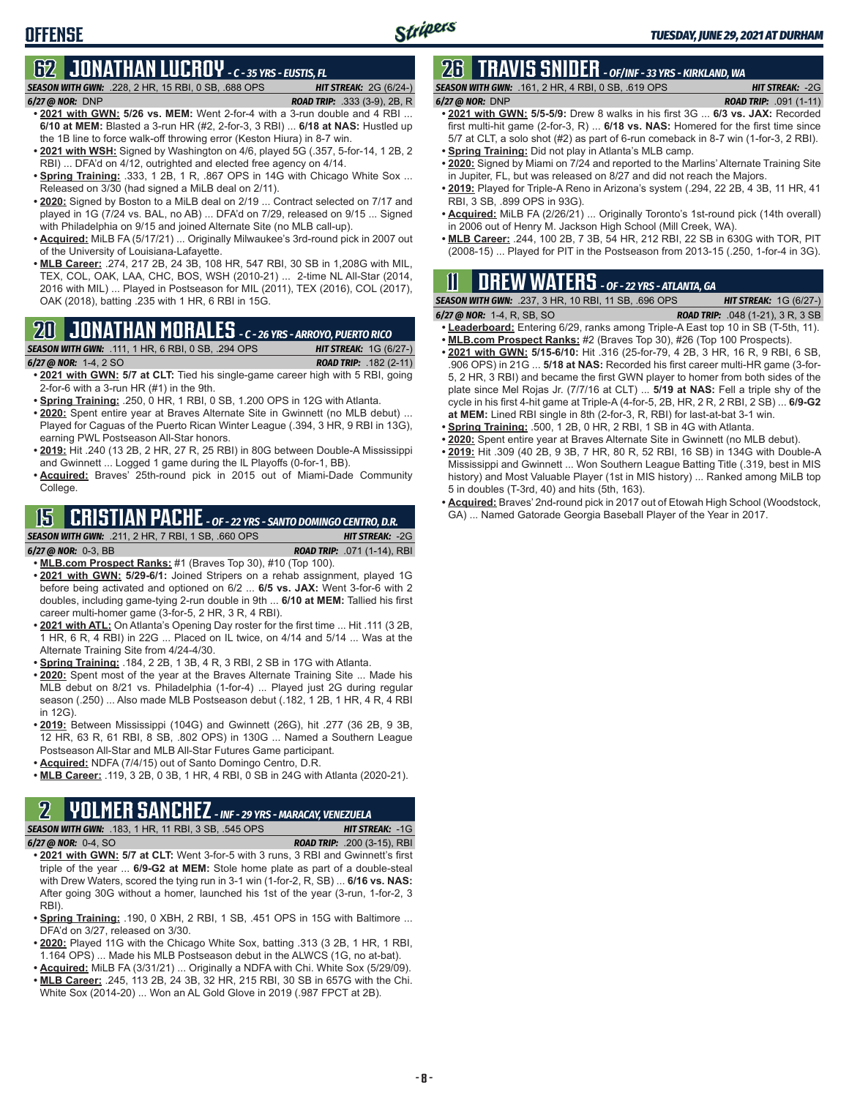#### **OFFENSE**

## **62 JONATHAN LUCROY** *- C - 35 YRS - EUSTIS, FL*

*SEASON WITH GWN:*.228, 2 HR, 15 RBI, 0 SB, .688 OPS *HIT STREAK:* 2G (6/24-)

- *6/27 @ NOR:*DNP *ROAD TRIP:* .333 (3-9), 2B, R
- **• 2021 with GWN: 5/26 vs. MEM:** Went 2-for-4 with a 3-run double and 4 RBI ... **6/10 at MEM:** Blasted a 3-run HR (#2, 2-for-3, 3 RBI) ... **6/18 at NAS:** Hustled up the 1B line to force walk-off throwing error (Keston Hiura) in 8-7 win.
- **• 2021 with WSH:** Signed by Washington on 4/6, played 5G (.357, 5-for-14, 1 2B, 2 RBI) ... DFA'd on 4/12, outrighted and elected free agency on 4/14.
- **Spring Training:** 333, 1 2B, 1 R, .867 OPS in 14G with Chicago White Sox ... Released on 3/30 (had signed a MiLB deal on 2/11).
- **• 2020:** Signed by Boston to a MiLB deal on 2/19 ... Contract selected on 7/17 and played in 1G (7/24 vs. BAL, no AB) ... DFA'd on 7/29, released on 9/15 ... Signed with Philadelphia on 9/15 and joined Alternate Site (no MLB call-up).
- **• Acquired:** MiLB FA (5/17/21) ... Originally Milwaukee's 3rd-round pick in 2007 out of the University of Louisiana-Lafayette.
- **• MLB Career:** .274, 217 2B, 24 3B, 108 HR, 547 RBI, 30 SB in 1,208G with MIL, TEX, COL, OAK, LAA, CHC, BOS, WSH (2010-21) ... 2-time NL All-Star (2014, 2016 with MIL) ... Played in Postseason for MIL (2011), TEX (2016), COL (2017), OAK (2018), batting .235 with 1 HR, 6 RBI in 15G.

## **20 JONATHAN MORALES** *- C - 26 YRS - ARROYO, PUERTO RICO*

- *SEASON WITH GWN:*.111, 1 HR, 6 RBI, 0 SB, .294 OPS *HIT STREAK:* 1G (6/27-) *6/27 @ NOR:*1-4, 2 SO *ROAD TRIP:* .182 (2-11)
- **• 2021 with GWN: 5/7 at CLT:** Tied his single-game career high with 5 RBI, going 2-for-6 with a 3-run HR (#1) in the 9th.
- **• Spring Training:** .250, 0 HR, 1 RBI, 0 SB, 1.200 OPS in 12G with Atlanta.
- **• 2020:** Spent entire year at Braves Alternate Site in Gwinnett (no MLB debut) ... Played for Caguas of the Puerto Rican Winter League (.394, 3 HR, 9 RBI in 13G), earning PWL Postseason All-Star honors.
- **• 2019:** Hit .240 (13 2B, 2 HR, 27 R, 25 RBI) in 80G between Double-A Mississippi and Gwinnett ... Logged 1 game during the IL Playoffs (0-for-1, BB).
- **• Acquired:** Braves' 25th-round pick in 2015 out of Miami-Dade Community College.

#### **15 CRISTIAN PACHE** *- OF - 22 YRS - SANTO DOMINGO CENTRO, D.R.*

*SEASON WITH GWN:*.211, 2 HR, 7 RBI, 1 SB, .660 OPS *HIT STREAK:* -2G *6/27 @ NOR:* 0-3, BB *ROAD TRIP:* .071 (1-14), RBI

- **• MLB.com Prospect Ranks:** #1 (Braves Top 30), #10 (Top 100).
- **• 2021 with GWN: 5/29-6/1:** Joined Stripers on a rehab assignment, played 1G before being activated and optioned on 6/2 ... **6/5 vs. JAX:** Went 3-for-6 with 2 doubles, including game-tying 2-run double in 9th ... **6/10 at MEM:** Tallied his first career multi-homer game (3-for-5, 2 HR, 3 R, 4 RBI).
- **• 2021 with ATL:** On Atlanta's Opening Day roster for the first time ... Hit .111 (3 2B, 1 HR, 6 R, 4 RBI) in 22G ... Placed on IL twice, on 4/14 and 5/14 ... Was at the Alternate Training Site from 4/24-4/30.
- **• Spring Training:** .184, 2 2B, 1 3B, 4 R, 3 RBI, 2 SB in 17G with Atlanta.
- **• 2020:** Spent most of the year at the Braves Alternate Training Site ... Made his MLB debut on 8/21 vs. Philadelphia (1-for-4) ... Played just 2G during regular season (.250) ... Also made MLB Postseason debut (.182, 1 2B, 1 HR, 4 R, 4 RBI in 12G).
- **• 2019:** Between Mississippi (104G) and Gwinnett (26G), hit .277 (36 2B, 9 3B, 12 HR, 63 R, 61 RBI, 8 SB, .802 OPS) in 130G ... Named a Southern League Postseason All-Star and MLB All-Star Futures Game participant.
- **• Acquired:** NDFA (7/4/15) out of Santo Domingo Centro, D.R.
- **• MLB Career:** .119, 3 2B, 0 3B, 1 HR, 4 RBI, 0 SB in 24G with Atlanta (2020-21).

#### **2 YOLMER SANCHEZ** *- INF - 29 YRS - MARACAY, VENEZUELA*

*SEASON WITH GWN:*.183, 1 HR, 11 RBI, 3 SB, .545 OPS *HIT STREAK:* -1G

| <b>SEASON WITH GWN:</b> .183. 1 HR. 11 RBI. 3 SB. .545 OPS | <b>HIT STREAK: -1G</b>            |
|------------------------------------------------------------|-----------------------------------|
| 6/27 @ NOR: $0-4$ SO                                       | <b>ROAD TRIP:</b> $200(3-15)$ RBI |

- **• 2021 with GWN: 5/7 at CLT:** Went 3-for-5 with 3 runs, 3 RBI and Gwinnett's first triple of the year ... **6/9-G2 at MEM:** Stole home plate as part of a double-steal with Drew Waters, scored the tying run in 3-1 win (1-for-2, R, SB) ... **6/16 vs. NAS:** After going 30G without a homer, launched his 1st of the year (3-run, 1-for-2, 3 RBI).
- **• Spring Training:** .190, 0 XBH, 2 RBI, 1 SB, .451 OPS in 15G with Baltimore ... DFA'd on 3/27, released on 3/30.
- **• 2020:** Played 11G with the Chicago White Sox, batting .313 (3 2B, 1 HR, 1 RBI, 1.164 OPS) ... Made his MLB Postseason debut in the ALWCS (1G, no at-bat).
- **• Acquired:** MiLB FA (3/31/21) ... Originally a NDFA with Chi. White Sox (5/29/09).
- **• MLB Career:** .245, 113 2B, 24 3B, 32 HR, 215 RBI, 30 SB in 657G with the Chi. White Sox (2014-20) ... Won an AL Gold Glove in 2019 (.987 FPCT at 2B).

## **26 TRAVIS SNIDER** *- OF/INF - 33 YRS - KIRKLAND, WA*

*SEASON WITH GWN:*.161, 2 HR, 4 RBI, 0 SB, .619 OPS *HIT STREAK:* -2G *6/27 @ NOR:* DNP *ROAD TRIP:* .091 (1-11)

- **• 2021 with GWN: 5/5-5/9:** Drew 8 walks in his first 3G ... **6/3 vs. JAX:** Recorded first multi-hit game (2-for-3, R) ... **6/18 vs. NAS:** Homered for the first time since 5/7 at CLT, a solo shot (#2) as part of 6-run comeback in 8-7 win (1-for-3, 2 RBI).
- **• Spring Training:** Did not play in Atlanta's MLB camp.
- **• 2020:** Signed by Miami on 7/24 and reported to the Marlins' Alternate Training Site in Jupiter, FL, but was released on 8/27 and did not reach the Majors.
- **• 2019:** Played for Triple-A Reno in Arizona's system (.294, 22 2B, 4 3B, 11 HR, 41 RBI, 3 SB, .899 OPS in 93G).
- **• Acquired:** MiLB FA (2/26/21) ... Originally Toronto's 1st-round pick (14th overall) in 2006 out of Henry M. Jackson High School (Mill Creek, WA).
- **• MLB Career:** .244, 100 2B, 7 3B, 54 HR, 212 RBI, 22 SB in 630G with TOR, PIT (2008-15) ... Played for PIT in the Postseason from 2013-15 (.250, 1-for-4 in 3G).

### **11 Drew WATERS** *- OF - 22 YRS - ATLANTA, GA*

| <b>SEASON WITH GWN:</b> .237, 3 HR, 10 RBI, 11 SB, .696 OPS |  |  |                                            | <b>HIT STREAK: 1G (6/27-)</b> |
|-------------------------------------------------------------|--|--|--------------------------------------------|-------------------------------|
| $6/27$ @ NOR: 1-4, R, SB, SO                                |  |  | <b>ROAD TRIP:</b> $.048$ (1-21), 3 R, 3 SB |                               |
|                                                             |  |  |                                            |                               |

- **• Leaderboard:** Entering 6/29, ranks among Triple-A East top 10 in SB (T-5th, 11). **• MLB.com Prospect Ranks:** #2 (Braves Top 30), #26 (Top 100 Prospects).
- **• 2021 with GWN: 5/15-6/10:** Hit .316 (25-for-79, 4 2B, 3 HR, 16 R, 9 RBI, 6 SB, .906 OPS) in 21G ... **5/18 at NAS:** Recorded his first career multi-HR game (3-for-5, 2 HR, 3 RBI) and became the first GWN player to homer from both sides of the plate since Mel Rojas Jr. (7/7/16 at CLT) ... **5/19 at NAS:** Fell a triple shy of the cycle in his first 4-hit game at Triple-A (4-for-5, 2B, HR, 2 R, 2 RBI, 2 SB) ... **6/9-G2 at MEM:** Lined RBI single in 8th (2-for-3, R, RBI) for last-at-bat 3-1 win.
- **• Spring Training:** .500, 1 2B, 0 HR, 2 RBI, 1 SB in 4G with Atlanta.
- **• 2020:** Spent entire year at Braves Alternate Site in Gwinnett (no MLB debut).
- **• 2019:** Hit .309 (40 2B, 9 3B, 7 HR, 80 R, 52 RBI, 16 SB) in 134G with Double-A Mississippi and Gwinnett ... Won Southern League Batting Title (.319, best in MIS history) and Most Valuable Player (1st in MIS history) ... Ranked among MiLB top 5 in doubles (T-3rd, 40) and hits (5th, 163).
- **• Acquired:** Braves' 2nd-round pick in 2017 out of Etowah High School (Woodstock, GA) ... Named Gatorade Georgia Baseball Player of the Year in 2017.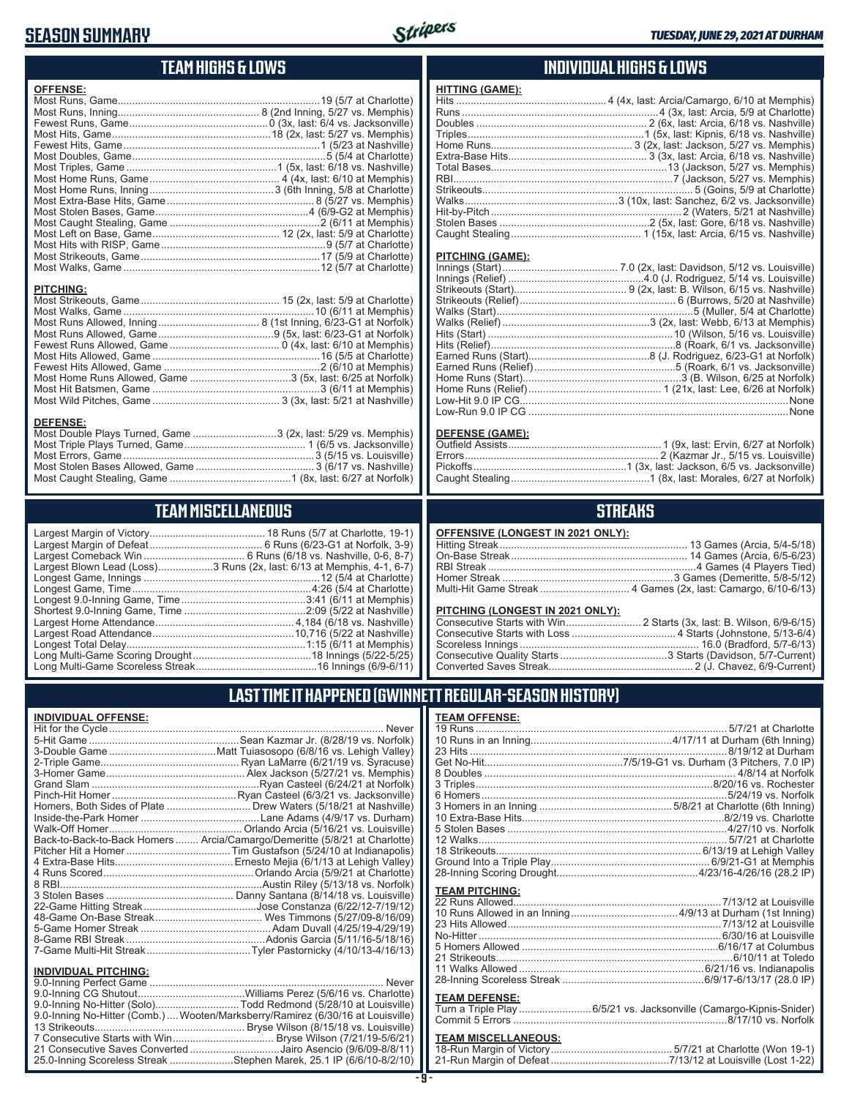#### **SEASON SUMMARY**



**HITTING (GAME):**

#### **TEAM HIGHS & LOWS**

| <b>OFFENSE:</b>  |  |
|------------------|--|
|                  |  |
|                  |  |
| <b>PITCHING:</b> |  |
|                  |  |
|                  |  |
|                  |  |
|                  |  |
|                  |  |
|                  |  |
|                  |  |

Most Wild Pitches, Game ............................................ 3 (3x, last: 5/21 at Nashville)

Most Double Plays Turned, Game .............................3 (2x, last: 5/29 vs. Memphis) Most Triple Plays Turned, Game .......................................... 1 (6/5 vs. Jacksonville) Most Errors, Game ..................................................................3 (5/15 vs. Louisville) Most Stolen Bases Allowed, Game ......................................... 3 (6/17 vs. Nashville) Most Caught Stealing, Game ..........................................1 (8x, last: 6/27 at Norfolk)

**TEAM MISCELLANEOUS** Largest Margin of Victory........................................ 18 Runs (5/7 at Charlotte, 19-1) Largest Margin of Defeat ....................................... 6 Runs (6/23-G1 at Norfolk, 3-9) Largest Comeback Win ................................... 6 Runs (6/18 vs. Nashville, 0-6, 8-7) Largest Blown Lead (Loss)...................3 Runs (2x, last: 6/13 at Memphis, 4-1, 6-7) Longest Game, Innings .............................................................12 (5/4 at Charlotte) Longest Game, Time ..............................................................4:26 (5/4 at Charlotte) Longest 9.0-Inning Game, Time ...........................................3:41 (6/11 at Memphis) Shortest 9.0-Inning Game, Time ..........................................2:09 (5/22 at Nashville) Largest Home Attendance ................................................ 4,184 (6/18 vs. Nashville) Largest Road Attendance .................................................10,716 (5/22 at Nashville) Longest Total Delay..............................................................1:15 (6/11 at Memphis) Long Multi-Game Scoring Drought .........................................18 Innings (5/22-5/25) Long Multi-Game Scoreless Streak ..........................................16 Innings (6/9-6/11)

#### **INDIVIDUAL HIGHS & LOWS**

| PITCHING (GAME): |                                                       |
|------------------|-------------------------------------------------------|
|                  |                                                       |
|                  |                                                       |
|                  |                                                       |
|                  |                                                       |
|                  |                                                       |
|                  |                                                       |
|                  |                                                       |
|                  |                                                       |
|                  |                                                       |
|                  |                                                       |
|                  |                                                       |
|                  |                                                       |
|                  |                                                       |
|                  | Low-Run 9.0 IP CG …………………………………………………………………………………None |

#### **DEFENSE (GAME):**

#### **STREAKS**

|  |  | OFFENSIVE (LONGEST IN 2021 ONLY): |
|--|--|-----------------------------------|
|--|--|-----------------------------------|

#### **PITCHING (LONGEST IN 2021 ONLY):**

| <u>LITORING (LONGLOT IN 2021 ONLITE</u> |  |
|-----------------------------------------|--|
|                                         |  |
|                                         |  |
|                                         |  |
|                                         |  |
|                                         |  |
|                                         |  |

#### **LAST TIME IT HAPPENED (GWINNETT REGULAR-SEASON HISTORY)**

#### **INDIVIDUAL OFFENSE:**

**DEFENSE:**

|                             | Homers, Both Sides of Plate  Drew Waters (5/18/21 at Nashville)            |
|-----------------------------|----------------------------------------------------------------------------|
|                             |                                                                            |
|                             |                                                                            |
|                             | Back-to-Back-to-Back Homers  Arcia/Camargo/Demeritte (5/8/21 at Charlotte) |
|                             |                                                                            |
|                             |                                                                            |
|                             |                                                                            |
|                             |                                                                            |
|                             |                                                                            |
|                             |                                                                            |
|                             |                                                                            |
|                             |                                                                            |
|                             |                                                                            |
|                             |                                                                            |
|                             |                                                                            |
| <b>INDIVIDUAL PITCHING:</b> |                                                                            |
|                             |                                                                            |

| 9.0-Inning No-Hitter (Comb.) Wooten/Marksberry/Ramirez (6/30/16 at Louisville) |  |
|--------------------------------------------------------------------------------|--|
|                                                                                |  |
|                                                                                |  |
| 21 Consecutive Saves Converted Jairo Asencio (9/6/09-8/8/11)                   |  |
| 25.0-Inning Scoreless Streak Stephen Marek, 25.1 IP (6/6/10-8/2/10)            |  |
|                                                                                |  |

#### **TEAM OFFENSE:**

| <b>TEAM PITCHING:</b> |                                                                    |
|-----------------------|--------------------------------------------------------------------|
|                       |                                                                    |
|                       |                                                                    |
|                       |                                                                    |
|                       |                                                                    |
|                       |                                                                    |
|                       |                                                                    |
|                       |                                                                    |
|                       |                                                                    |
|                       |                                                                    |
| <b>TEAM DEFENSE:</b>  |                                                                    |
|                       | Turn a Triple Play 6/5/21 vs. Jacksonville (Camargo-Kipnis-Snider) |
|                       |                                                                    |
|                       |                                                                    |

| <b>TEAM MISCELLANEOUS:</b> |  |
|----------------------------|--|
|                            |  |
|                            |  |